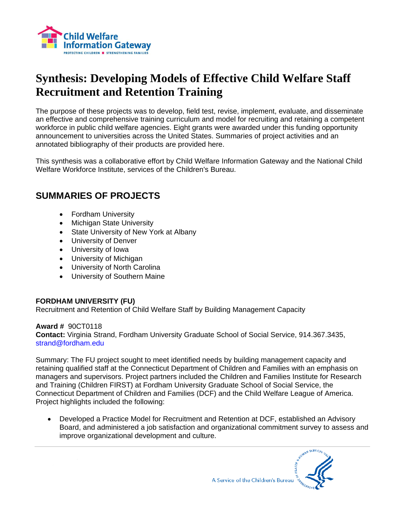

# **Synthesis: Developing Models of Effective Child Welfare Staff Recruitment and Retention Training**

The purpose of these projects was to develop, field test, revise, implement, evaluate, and disseminate an effective and comprehensive training curriculum and model for recruiting and retaining a competent workforce in public child welfare agencies. Eight grants were awarded under this funding opportunity announcement to universities across the United States. Summaries of project activities and an annotated bibliography of their products are provided here.

This synthesis was a collaborative effort by Child Welfare Information Gateway and the National Child Welfare Workforce Institute, services of the Children's Bureau.

## **SUMMARIES OF PROJECTS**

- Fordham University
- Michigan State University
- State University of New York at Albany
- University of Denver
- University of Iowa
- University of Michigan
- University of North Carolina
- University of Southern Maine

## **FORDHAM UNIVERSITY (FU)**

Recruitment and Retention of Child Welfare Staff by Building Management Capacity

## **Award #** 90CT0118

**Contact:** Virginia Strand, Fordham University Graduate School of Social Service, 914.367.3435, strand@fordham.edu

Summary: The FU project sought to meet identified needs by building management capacity and retaining qualified staff at the Connecticut Department of Children and Families with an emphasis on managers and supervisors. Project partners included the Children and Families Institute for Research and Training (Children FIRST) at Fordham University Graduate School of Social Service, the Connecticut Department of Children and Families (DCF) and the Child Welfare League of America. Project highlights included the following:

• Developed a Practice Model for Recruitment and Retention at DCF, established an Advisory Board, and administered a job satisfaction and organizational commitment survey to assess and improve organizational development and culture.

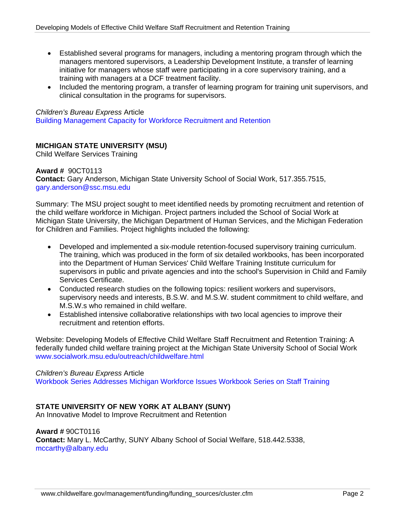- Established several programs for managers, including a mentoring program through which the managers mentored supervisors, a Leadership Development Institute, a transfer of learning initiative for managers whose staff were participating in a core supervisory training, and a training with managers at a DCF treatment facility.
- Included the mentoring program, a transfer of learning program for training unit supervisors, and clinical consultation in the programs for supervisors.

#### *Children's Bureau Express* Article

[Building Management Capacity for Workforce Recruitment and Retention](http://cbexpress.acf.hhs.gov/index.cfm?event=website.viewArticles&issueid=83&articleID=1337&keywords=fordham)

## **MICHIGAN STATE UNIVERSITY (MSU)**

Child Welfare Services Training

## **Award #** 90CT0113

**Contact:** Gary Anderson, Michigan State University School of Social Work, 517.355.7515, [gary.anderson@ssc.msu.edu](mailto:gary.anderson@ssc.msu.edu)

Summary: The MSU project sought to meet identified needs by promoting recruitment and retention of the child welfare workforce in Michigan. Project partners included the School of Social Work at Michigan State University, the Michigan Department of Human Services, and the Michigan Federation for Children and Families. Project highlights included the following:

- Developed and implemented a six-module retention-focused supervisory training curriculum. The training, which was produced in the form of six detailed workbooks, has been incorporated into the Department of Human Services' Child Welfare Training Institute curriculum for supervisors in public and private agencies and into the school's Supervision in Child and Family Services Certificate.
- Conducted research studies on the following topics: resilient workers and supervisors, supervisory needs and interests, B.S.W. and M.S.W. student commitment to child welfare, and M.S.W.s who remained in child welfare.
- Established intensive collaborative relationships with two local agencies to improve their recruitment and retention efforts.

Website: Developing Models of Effective Child Welfare Staff Recruitment and Retention Training: A federally funded child welfare training project at the Michigan State University School of Social Work www.socialwork.msu.edu/outreach/childwelfare.html

## *Children's Bureau Express* Article

[Workbook Series Addresses Michigan Workforce Issues](http://cbexpress.acf.hhs.gov/index.cfm?event=website.viewArticles&issueid=81&articleID=1806&keywords=michigan%20state) [Workbook Series on Staff Training](http://cbexpress.acf.hhs.gov/index.cfm?event=website.viewArticles&issueid=86&articleID=1742&keywords=michigan%20state)

## **STATE UNIVERSITY OF NEW YORK AT ALBANY (SUNY)**

An Innovative Model to Improve Recruitment and Retention

#### **Award #** 90CT0116

**Contact:** Mary L. McCarthy, SUNY Albany School of Social Welfare, 518.442.5338, mccarthy@albany.edu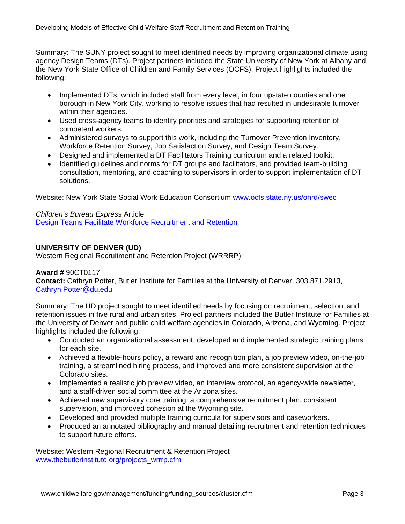Summary: The SUNY project sought to meet identified needs by improving organizational climate using agency Design Teams (DTs). Project partners included the State University of New York at Albany and the New York State Office of Children and Family Services (OCFS). Project highlights included the following:

- Implemented DTs, which included staff from every level, in four upstate counties and one borough in New York City, working to resolve issues that had resulted in undesirable turnover within their agencies.
- Used cross-agency teams to identify priorities and strategies for supporting retention of competent workers.
- Administered surveys to support this work, including the Turnover Prevention Inventory, Workforce Retention Survey, Job Satisfaction Survey, and Design Team Survey.
- Designed and implemented a DT Facilitators Training curriculum and a related toolkit.
- Identified guidelines and norms for DT groups and facilitators, and provided team-building consultation, mentoring, and coaching to supervisors in order to support implementation of DT solutions.

Website: New York State Social Work Education Consortium [www.ocfs.state.ny.us/ohrd/swec](http://www.ocfs.state.ny.us/ohrd/swec/)

*Children's Bureau Express* Article [Design Teams Facilitate Workforce Recruitment and Retention](http://cbexpress.acf.hhs.gov/index.cfm?event=website.viewArticles&issueid=82&articleID=1317&keywords=design)

## **UNIVERSITY OF DENVER (UD)**

Western Regional Recruitment and Retention Project (WRRRP)

#### **Award #** 90CT0117

**Contact:** Cathryn Potter, Butler Institute for Families at the University of Denver, 303.871.2913, Cathryn.Potter@du.edu

Summary: The UD project sought to meet identified needs by focusing on recruitment, selection, and retention issues in five rural and urban sites. Project partners included the Butler Institute for Families at the University of Denver and public child welfare agencies in Colorado, Arizona, and Wyoming. Project highlights included the following:

- Conducted an organizational assessment, developed and implemented strategic training plans for each site.
- Achieved a flexible-hours policy, a reward and recognition plan, a job preview video, on-the-job training, a streamlined hiring process, and improved and more consistent supervision at the Colorado sites.
- Implemented a realistic job preview video, an interview protocol, an agency-wide newsletter, and a staff-driven social committee at the Arizona sites.
- Achieved new supervisory core training, a comprehensive recruitment plan, consistent supervision, and improved cohesion at the Wyoming site.
- Developed and provided multiple training curricula for supervisors and caseworkers.
- Produced an annotated bibliography and manual detailing recruitment and retention techniques to support future efforts.

Website: Western Regional Recruitment & Retention Project [www.thebutlerinstitute.org/projects\\_wrrrp.cfm](http://www.childwelfare.gov/survey/disclaimerAskme.cfm?target=http%3A%2F%2Fwww.thebutlerinstitute.org%2Fprojects_wrrrp.cfm&referrer=http%3A%2F%2Fwww.childwelfare.gov%2Fsystemwide%2Ffunding%2Ffunding_sources%2Fsitevisits%2Fcolorado.cfm)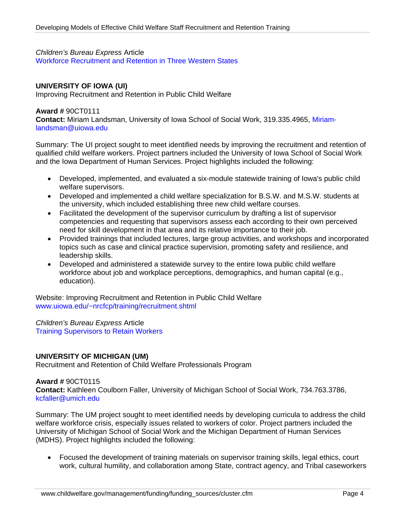#### *Children's Bureau Express* Article

[Workforce Recruitment and Retention in Three Western States](http://cbexpress.acf.hhs.gov/index.cfm?event=website.viewArticles&issueid=78&articleID=1226&keywords=workforce) 

#### **UNIVERSITY OF IOWA (UI)**

Improving Recruitment and Retention in Public Child Welfare

#### **Award #** 90CT0111

**Contact:** Miriam Landsman, University of Iowa School of Social Work, 319.335.4965, [Miriam](mailto:Miriam-landsman@uiowa.edu)[landsman@uiowa.edu](mailto:Miriam-landsman@uiowa.edu)

Summary: The UI project sought to meet identified needs by improving the recruitment and retention of qualified child welfare workers. Project partners included the University of Iowa School of Social Work and the Iowa Department of Human Services. Project highlights included the following:

- Developed, implemented, and evaluated a six-module statewide training of Iowa's public child welfare supervisors.
- Developed and implemented a child welfare specialization for B.S.W. and M.S.W. students at the university, which included establishing three new child welfare courses.
- Facilitated the development of the supervisor curriculum by drafting a list of supervisor competencies and requesting that supervisors assess each according to their own perceived need for skill development in that area and its relative importance to their job.
- Provided trainings that included lectures, large group activities, and workshops and incorporated topics such as case and clinical practice supervision, promoting safety and resilience, and leadership skills.
- Developed and administered a statewide survey to the entire Iowa public child welfare workforce about job and workplace perceptions, demographics, and human capital (e.g., education).

Website: Improving Recruitment and Retention in Public Child Welfare www.uiowa.edu/~nrcfcp/training/recruitment.shtml

*Children's Bureau Express* Article [Training Supervisors to Retain Workers](http://cbexpress.acf.hhs.gov/index.cfm?event=website.viewArticles&issueid=91&articleID=1485&keywords=iowa) 

#### **UNIVERSITY OF MICHIGAN (UM)**

Recruitment and Retention of Child Welfare Professionals Program

#### **Award #** 90CT0115

**Contact:** Kathleen Coulborn Faller, University of Michigan School of Social Work, 734.763.3786, kcfaller@umich.edu

Summary: The UM project sought to meet identified needs by developing curricula to address the child welfare workforce crisis, especially issues related to workers of color. Project partners included the University of Michigan School of Social Work and the Michigan Department of Human Services (MDHS). Project highlights included the following:

• Focused the development of training materials on supervisor training skills, legal ethics, court work, cultural humility, and collaboration among State, contract agency, and Tribal caseworkers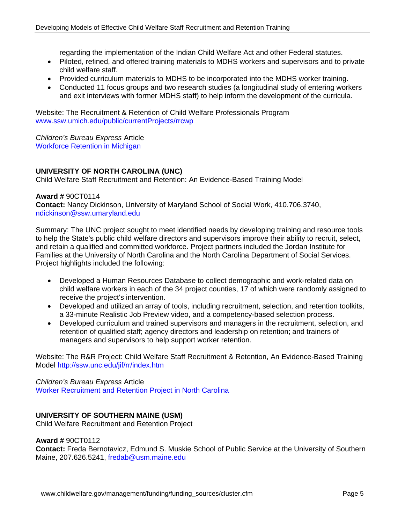regarding the implementation of the Indian Child Welfare Act and other Federal statutes.

- Piloted, refined, and offered training materials to MDHS workers and supervisors and to private child welfare staff.
- Provided curriculum materials to MDHS to be incorporated into the MDHS worker training.
- Conducted 11 focus groups and two research studies (a longitudinal study of entering workers and exit interviews with former MDHS staff) to help inform the development of the curricula.

Website: The Recruitment & Retention of Child Welfare Professionals Program www.ssw.umich.edu/public/currentProjects/rrcwp

*Children's Bureau Express* Article [Workforce Retention in Michigan](http://cbexpress.acf.hhs.gov/index.cfm?event=website.viewArticles&issueid=80&articleID=1270&keywords=michigan%20state)

## **UNIVERSITY OF NORTH CAROLINA (UNC)**

Child Welfare Staff Recruitment and Retention: An Evidence-Based Training Model

#### **Award #** 90CT0114

**Contact:** Nancy Dickinson, University of Maryland School of Social Work, 410.706.3740, [ndickinson@ssw.umaryland.edu](mailto:ndickinson@ssw.umaryland.edu)

Summary: The UNC project sought to meet identified needs by developing training and resource tools to help the State's public child welfare directors and supervisors improve their ability to recruit, select, and retain a qualified and committed workforce. Project partners included the Jordan Institute for Families at the University of North Carolina and the North Carolina Department of Social Services. Project highlights included the following:

- Developed a Human Resources Database to collect demographic and work-related data on child welfare workers in each of the 34 project counties, 17 of which were randomly assigned to receive the project's intervention.
- Developed and utilized an array of tools, including recruitment, selection, and retention toolkits, a 33-minute Realistic Job Preview video, and a competency-based selection process.
- Developed curriculum and trained supervisors and managers in the recruitment, selection, and retention of qualified staff; agency directors and leadership on retention; and trainers of managers and supervisors to help support worker retention.

Website: The R&R Project: Child Welfare Staff Recruitment & Retention, An Evidence-Based Training Model [http://ssw.unc.edu/jif/rr/index.htm](http://www.childwelfare.gov/survey/disclaimerAskme.cfm?target=http%3A%2F%2Fssw.unc.edu%2Fjif%2Frr%2Findex.htm&referrer=http%3A%2F%2Fwww.childwelfare.gov%2Fsystemwide%2Ffunding%2Ffunding_sources%2Fsitevisits%2Fncarolina.cfm)

#### *Children's Bureau Express* Article

[Worker Recruitment and Retention Project in North Carolina](http://cbexpress.acf.hhs.gov/index.cfm?event=website.viewArticles&issueid=77&articleID=1206&keywords=worker)

## **UNIVERSITY OF SOUTHERN MAINE (USM)**

Child Welfare Recruitment and Retention Project

## **Award #** 90CT0112

**Contact:** Freda Bernotavicz, Edmund S. Muskie School of Public Service at the University of Southern Maine, 207.626.5241, fredab@usm.maine.edu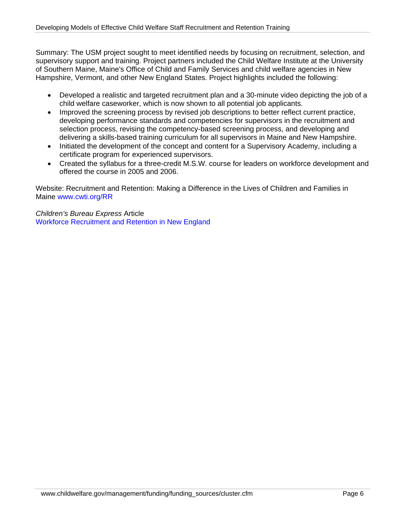Summary: The USM project sought to meet identified needs by focusing on recruitment, selection, and supervisory support and training. Project partners included the Child Welfare Institute at the University of Southern Maine, Maine's Office of Child and Family Services and child welfare agencies in New Hampshire, Vermont, and other New England States. Project highlights included the following:

- Developed a realistic and targeted recruitment plan and a 30-minute video depicting the job of a child welfare caseworker, which is now shown to all potential job applicants.
- Improved the screening process by revised job descriptions to better reflect current practice, developing performance standards and competencies for supervisors in the recruitment and selection process, revising the competency-based screening process, and developing and delivering a skills-based training curriculum for all supervisors in Maine and New Hampshire.
- Initiated the development of the concept and content for a Supervisory Academy, including a certificate program for experienced supervisors.
- Created the syllabus for a three-credit M.S.W. course for leaders on workforce development and offered the course in 2005 and 2006.

Website: Recruitment and Retention: Making a Difference in the Lives of Children and Families in Maine www.cwti.org/RR

*Children's Bureau Express* Article [Workforce Recruitment and Retention in New England](http://cbexpress.acf.hhs.gov/index.cfm?event=website.viewArticles&issueid=84&articleID=1351&keywords=workforce)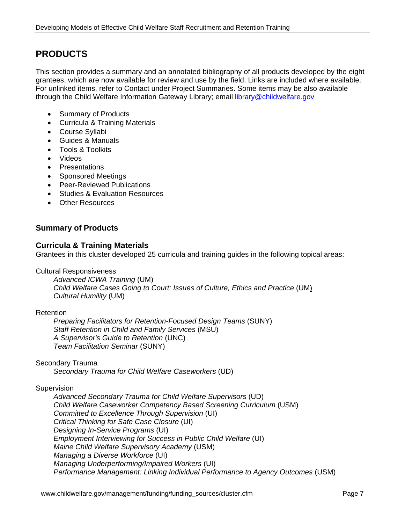## **PRODUCTS**

This section provides a summary and an annotated bibliography of all products developed by the eight grantees, which are now available for review and use by the field. Links are included where available. For unlinked items, refer to Contact under Project Summaries. Some items may be also available through the Child Welfare Information Gateway Library; email library@childwelfare.gov

- Summary of Products
- Curricula & Training Materials
- Course Syllabi
- Guides & Manuals
- Tools & Toolkits
- Videos
- Presentations
- Sponsored Meetings
- Peer-Reviewed Publications
- Studies & Evaluation Resources
- Other Resources

## **Summary of Products**

## **Curricula & Training Materials**

Grantees in this cluster developed 25 curricula and training guides in the following topical areas:

Cultural Responsiveness

*Advanced ICWA Training* (UM) *Child Welfare Cases Going to Court: Issues of Culture, Ethics and Practice* (UM) *Cultural Humility* (UM)

## Retention

*Preparing Facilitators for Retention-Focused Design Teams* (SUNY) *Staff Retention in Child and Family Services* (MSU) *A Supervisor's Guide to Retention* (UNC) *Team Facilitation Seminar* (SUNY)

## Secondary Trauma

*Secondary Trauma for Child Welfare Caseworkers* (UD)

## Supervision

*Advanced Secondary Trauma for Child Welfare Supervisors* (UD) *Child Welfare Caseworker Competency Based Screening Curriculum* (USM) *Committed to Excellence Through Supervision* (UI) *Critical Thinking for Safe Case Closure* (UI) *Designing In-Service Programs* (UI) *Employment Interviewing for Success in Public Child Welfare* (UI) *Maine Child Welfare Supervisory Academy* (USM) *Managing a Diverse Workforce* (UI) *Managing Underperforming/Impaired Workers* (UI) *Performance Management: Linking Individual Performance to Agency Outcomes* (USM)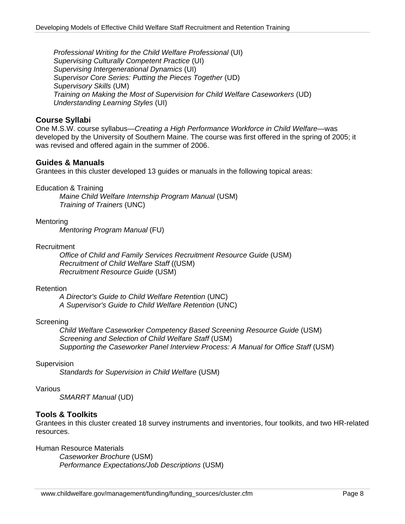*Professional Writing for the Child Welfare Professional* (UI) *Supervising Culturally Competent Practice* (UI) *Supervising Intergenerational Dynamics* (UI) *Supervisor Core Series: Putting the Pieces Together* (UD) *Supervisory Skills* (UM) *Training on Making the Most of Supervision for Child Welfare Caseworkers* (UD) *Understanding Learning Styles* (UI)

## **Course Syllabi**

One M.S.W. course syllabus—*Creating a High Performance Workforce in Child Welfare—*was developed by the University of Southern Maine. The course was first offered in the spring of 2005; it was revised and offered again in the summer of 2006.

## **Guides & Manuals**

Grantees in this cluster developed 13 guides or manuals in the following topical areas:

Education & Training

*Maine Child Welfare Internship Program Manual* (USM) *Training of Trainers* (UNC)

#### **Mentoring**

*Mentoring Program Manual* (FU)

#### Recruitment

*Office of Child and Family Services Recruitment Resource Guide* (USM) *Recruitment of Child Welfare Staff* ((USM) *Recruitment Resource Guide* (USM)

#### Retention

*A Director's Guide to Child Welfare Retention* (UNC) *A Supervisor's Guide to Child Welfare Retention* (UNC)

## **Screening**

*Child Welfare Caseworker Competency Based Screening Resource Guide* (USM) *Screening and Selection of Child Welfare Staff* (USM) *Supporting the Caseworker Panel Interview Process: A Manual for Office Staff* (USM)

#### **Supervision**

*Standards for Supervision in Child Welfare* (USM)

#### Various

*SMARRT Manual* (UD)

## **Tools & Toolkits**

Grantees in this cluster created 18 survey instruments and inventories, four toolkits, and two HR-related resources.

Human Resource Materials

*Caseworker Brochure* (USM) *Performance Expectations/Job Descriptions* (USM)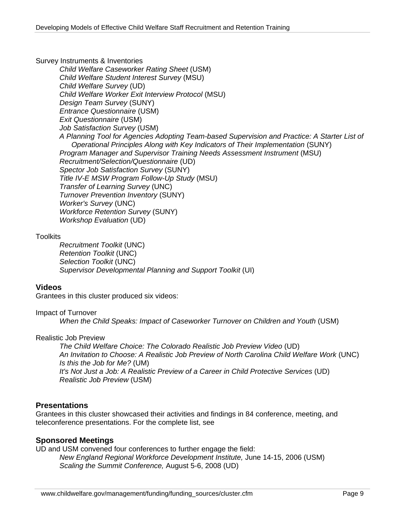Survey Instruments & Inventories

*Child Welfare Caseworker Rating Sheet* (USM) *Child Welfare Student Interest Survey* (MSU) *Child Welfare Survey* (UD) *Child Welfare Worker Exit Interview Protocol* (MSU) *Design Team Survey* (SUNY) *Entrance Questionnaire* (USM) *Exit Questionnaire* (USM) *Job Satisfaction Survey* (USM) *A Planning Tool for Agencies Adopting Team-based Supervision and Practice: A Starter List of Operational Principles Along with Key Indicators of Their Implementation* (SUNY) **Program Manager and Supervisor Training Needs Assessment Instrument (MSU)** *Recruitment/Selection/Questionnaire* (UD) *Spector Job Satisfaction Survey* (SUNY) *Title IV-E MSW Program Follow-Up Study* (MSU) *Transfer of Learning Survey* (UNC) *Turnover Prevention Inventory* (SUNY) *Worker's Survey* (UNC) *Workforce Retention Survey* (SUNY) *Workshop Evaluation* (UD)

## **Toolkits**

*Recruitment Toolkit* (UNC) *Retention Toolkit* (UNC) *Selection Toolkit* (UNC) *Supervisor Developmental Planning and Support Toolkit* (UI)

## **Videos**

Grantees in this cluster produced six videos:

## Impact of Turnover

*When the Child Speaks: Impact of Caseworker Turnover on Children and Youth* (USM)

## Realistic Job Preview

*The Child Welfare Choice: The Colorado Realistic Job Preview Video* (UD) *An Invitation to Choose: A Realistic Job Preview of North Carolina Child Welfare Work* (UNC) *Is this the Job for Me?* (UM) *It's Not Just a Job: A Realistic Preview of a Career in Child Protective Services* (UD) *Realistic Job Preview* (USM)

## **Presentations**

Grantees in this cluster showcased their activities and findings in 84 conference, meeting, and teleconference presentations. For the complete list, see

## **Sponsored Meetings**

UD and USM convened four conferences to further engage the field: *New England Regional Workforce Development Institute,* June 14-15, 2006 (USM) *Scaling the Summit Conference,* August 5-6, 2008 (UD)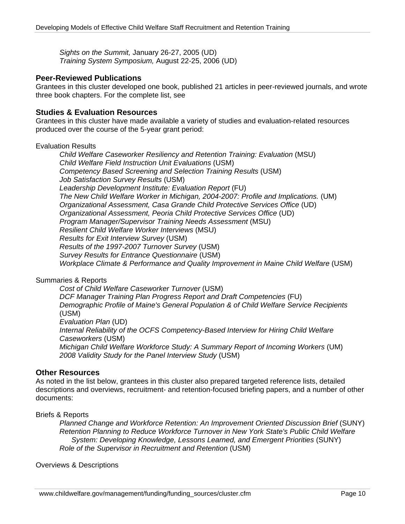*Sights on the Summit,* January 26-27, 2005 (UD) *Training System Symposium,* August 22-25, 2006 (UD)

## **Peer-Reviewed Publications**

Grantees in this cluster developed one book, published 21 articles in peer-reviewed journals, and wrote three book chapters. For the complete list, see

## **Studies & Evaluation Resources**

Grantees in this cluster have made available a variety of studies and evaluation-related resources produced over the course of the 5-year grant period:

#### Evaluation Results

*Child Welfare Caseworker Resiliency and Retention Training: Evaluation* (MSU) *Child Welfare Field Instruction Unit Evaluations* (USM) *Competency Based Screening and Selection Training Results* (USM) *Job Satisfaction Survey Results* (USM) *Leadership Development Institute: Evaluation Report* (FU) *The New Child Welfare Worker in Michigan, 2004-2007: Profile and Implications.* (UM) *Organizational Assessment, Casa Grande Child Protective Services Office* (UD) *Organizational Assessment, Peoria Child Protective Services Office* (UD) *Program Manager/Supervisor Training Needs Assessment* (MSU) *Resilient Child Welfare Worker Interviews* (MSU) *Results for Exit Interview Survey* (USM) *Results of the 1997-2007 Turnover Survey* (USM) *Survey Results for Entrance Questionnaire* (USM) Workplace Climate & Performance and Quality Improvement in Maine Child Welfare (USM)

## Summaries & Reports

*Cost of Child Welfare Caseworker Turnover* (USM) *DCF Manager Training Plan Progress Report and Draft Competencies* (FU) *Demographic Profile of Maine's General Population & of Child Welfare Service Recipients* (USM) *Evaluation Plan* (UD) *Internal Reliability of the OCFS Competency-Based Interview for Hiring Child Welfare Caseworkers* (USM) *Michigan Child Welfare Workforce Study: A Summary Report of Incoming Workers* (UM) *2008 Validity Study for the Panel Interview Study* (USM)

## **Other Resources**

As noted in the list below, grantees in this cluster also prepared targeted reference lists, detailed descriptions and overviews, recruitment- and retention-focused briefing papers, and a number of other documents:

Briefs & Reports

*Planned Change and Workforce Retention: An Improvement Oriented Discussion Brief* (SUNY) *Retention Planning to Reduce Workforce Turnover in New York State's Public Child Welfare System: Developing Knowledge, Lessons Learned, and Emergent Priorities* (SUNY) *Role of the Supervisor in Recruitment and Retention* (USM)

Overviews & Descriptions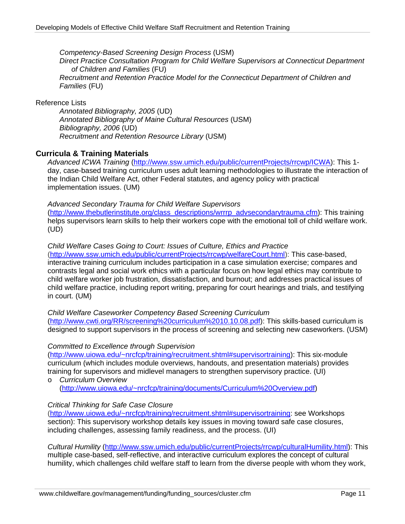*Competency-Based Screening Design Process* (USM) *Direct Practice Consultation Program for Child Welfare Supervisors at Connecticut Department of Children and Families* (FU) *Recruitment and Retention Practice Model for the Connecticut Department of Children and Families* (FU)

#### Reference Lists

*Annotated Bibliography, 2005* (UD) *Annotated Bibliography of Maine Cultural Resources* (USM) *Bibliography, 2006* (UD) *Recruitment and Retention Resource Library* (USM)

## **Curricula & Training Materials**

*Advanced ICWA Training* [\(http://www.ssw.umich.edu/public/currentProjects/rrcwp/ICWA\)](http://www.ssw.umich.edu/public/currentProjects/rrcwp/ICWA/): This 1 day, case-based training curriculum uses adult learning methodologies to illustrate the interaction of the Indian Child Welfare Act, other Federal statutes, and agency policy with practical implementation issues. (UM)

#### *Advanced Secondary Trauma for Child Welfare Supervisors*

([http://www.thebutlerinstitute.org/class\\_descriptions/wrrrp\\_advsecondarytrauma.cfm](http://www.thebutlerinstitute.org/class_descriptions/wrrrp_advsecondarytrauma.cfm)): This training helps supervisors learn skills to help their workers cope with the emotional toll of child welfare work. (UD)

#### *Child Welfare Cases Going to Court: Issues of Culture, Ethics and Practice*

([http://www.ssw.umich.edu/public/currentProjects/rrcwp/welfareCourt.html\)](http://www.ssw.umich.edu/public/currentProjects/rrcwp/welfareCourt.html): This case-based, interactive training curriculum includes participation in a case simulation exercise; compares and contrasts legal and social work ethics with a particular focus on how legal ethics may contribute to child welfare worker job frustration, dissatisfaction, and burnout; and addresses practical issues of child welfare practice, including report writing, preparing for court hearings and trials, and testifying in court. (UM)

## *Child Welfare Caseworker Competency Based Screening Curriculum*

([http://www.cwti.org/RR/screening%20curriculum%2010.10.08.pdf\)](http://www.cwti.org/RR/screening%20curriculum%2010.10.08.pdf): This skills-based curriculum is designed to support supervisors in the process of screening and selecting new caseworkers. (USM)

#### *Committed to Excellence through Supervision*

(<http://www.uiowa.edu/~nrcfcp/training/recruitment.shtml#supervisortraining>): This six-module curriculum (which includes module overviews, handouts, and presentation materials) provides training for supervisors and midlevel managers to strengthen supervisory practice. (UI) o *Curriculum Overview* 

([http://www.uiowa.edu/~nrcfcp/training/documents/Curriculum%20Overview.pdf](http://www.uiowa.edu/%7Enrcfcp/training/documents/Curriculum%20Overview.pdf))

## *Critical Thinking for Safe Case Closure*

(<http://www.uiowa.edu/~nrcfcp/training/recruitment.shtml#supervisortraining>: see Workshops section): This supervisory workshop details key issues in moving toward safe case closures, including challenges, assessing family readiness, and the process. (UI)

*Cultural Humility* (<http://www.ssw.umich.edu/public/currentProjects/rrcwp/culturalHumility.html>): This multiple case-based, self-reflective, and interactive curriculum explores the concept of cultural humility, which challenges child welfare staff to learn from the diverse people with whom they work,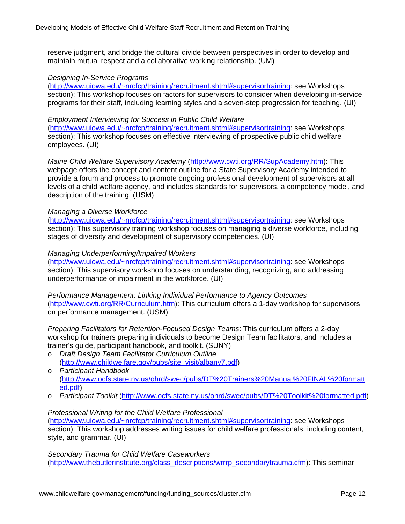reserve judgment, and bridge the cultural divide between perspectives in order to develop and maintain mutual respect and a collaborative working relationship. (UM)

#### *Designing In-Service Programs*

(<http://www.uiowa.edu/~nrcfcp/training/recruitment.shtml#supervisortraining>: see Workshops section): This workshop focuses on factors for supervisors to consider when developing in-service programs for their staff, including learning styles and a seven-step progression for teaching. (UI)

#### *Employment Interviewing for Success in Public Child Welfare*

(<http://www.uiowa.edu/~nrcfcp/training/recruitment.shtml#supervisortraining>: see Workshops section): This workshop focuses on effective interviewing of prospective public child welfare employees. (UI)

*Maine Child Welfare Supervisory Academy* ([http://www.cwti.org/RR/SupAcademy.htm\)](http://www.cwti.org/RR/SupAcademy.htm): This webpage offers the concept and content outline for a State Supervisory Academy intended to provide a forum and process to promote ongoing professional development of supervisors at all levels of a child welfare agency, and includes standards for supervisors, a competency model, and description of the training. (USM)

#### *Managing a Diverse Workforce*

(<http://www.uiowa.edu/~nrcfcp/training/recruitment.shtml#supervisortraining>: see Workshops section): This supervisory training workshop focuses on managing a diverse workforce, including stages of diversity and development of supervisory competencies. (UI)

## *Managing Underperforming/Impaired Workers*

(<http://www.uiowa.edu/~nrcfcp/training/recruitment.shtml#supervisortraining>: see Workshops section): This supervisory workshop focuses on understanding, recognizing, and addressing underperformance or impairment in the workforce. (UI)

*Performance Management: Linking Individual Performance to Agency Outcomes*  (<http://www.cwti.org/RR/Curriculum.htm>): This curriculum offers a 1-day workshop for supervisors on performance management. (USM)

*Preparing Facilitators for Retention-Focused Design Teams*: This curriculum offers a 2-day workshop for trainers preparing individuals to become Design Team facilitators, and includes a trainer's guide, participant handbook, and toolkit. (SUNY)

- o *Draft Design Team Facilitator Curriculum Outline* ([http://www.childwelfare.gov/pubs/site\\_visit/albany7.pdf\)](http://www.childwelfare.gov/pubs/site_visit/albany7.pdf)
- o *Participant Handbook*  ([http://www.ocfs.state.ny.us/ohrd/swec/pubs/DT%20Trainers%20Manual%20FINAL%20formatt](http://www.ocfs.state.ny.us/ohrd/swec/pubs/DT%20Trainers%20Manual%20FINAL%20formatted.pdf) [ed.pdf\)](http://www.ocfs.state.ny.us/ohrd/swec/pubs/DT%20Trainers%20Manual%20FINAL%20formatted.pdf)
- o *Participant Toolkit* [\(http://www.ocfs.state.ny.us/ohrd/swec/pubs/DT%20Toolkit%20formatted.pdf\)](http://www.ocfs.state.ny.us/ohrd/swec/pubs/DT%20Toolkit%20formatted.pdf)

#### *Professional Writing for the Child Welfare Professional*

(<http://www.uiowa.edu/~nrcfcp/training/recruitment.shtml#supervisortraining>: see Workshops section): This workshop addresses writing issues for child welfare professionals, including content, style, and grammar. (UI)

*Secondary Trauma for Child Welfare Caseworkers* ([http://www.thebutlerinstitute.org/class\\_descriptions/wrrrp\\_secondarytrauma.cfm\)](http://www.thebutlerinstitute.org/class_descriptions/wrrrp_secondarytrauma.cfm): This seminar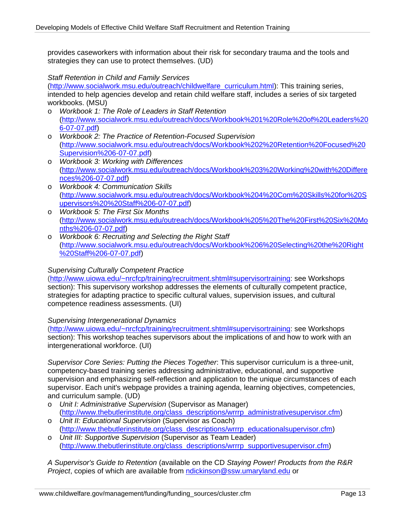provides caseworkers with information about their risk for secondary trauma and the tools and strategies they can use to protect themselves. (UD)

#### *Staff Retention in Child and Family Services*

([http://www.socialwork.msu.edu/outreach/childwelfare\\_curriculum.html](http://www.socialwork.msu.edu/outreach/childwelfare_curriculum.html)): This training series, intended to help agencies develop and retain child welfare staff, includes a series of six targeted workbooks. (MSU)

- o *Workbook 1: The Role of Leaders in Staff Retention*  ([http://www.socialwork.msu.edu/outreach/docs/Workbook%201%20Role%20of%20Leaders%20](http://www.socialwork.msu.edu/outreach/docs/Workbook%201%20Role%20of%20Leaders%206-07-07.pdf) [6-07-07.pdf](http://www.socialwork.msu.edu/outreach/docs/Workbook%201%20Role%20of%20Leaders%206-07-07.pdf))
- o *Workbook 2: The Practice of Retention-Focused Supervision*  ([http://www.socialwork.msu.edu/outreach/docs/Workbook%202%20Retention%20Focused%20](http://www.socialwork.msu.edu/outreach/docs/Workbook%202%20Retention%20Focused%20Supervision%206-07-07.pdf) [Supervision%206-07-07.pdf\)](http://www.socialwork.msu.edu/outreach/docs/Workbook%202%20Retention%20Focused%20Supervision%206-07-07.pdf)
- o *Workbook 3: Working with Differences* ([http://www.socialwork.msu.edu/outreach/docs/Workbook%203%20Working%20with%20Differe](http://www.socialwork.msu.edu/outreach/docs/Workbook%203%20Working%20with%20Differences%206-07-07.pdf) [nces%206-07-07.pdf\)](http://www.socialwork.msu.edu/outreach/docs/Workbook%203%20Working%20with%20Differences%206-07-07.pdf)
- o *Workbook 4: Communication Skills*  ([http://www.socialwork.msu.edu/outreach/docs/Workbook%204%20Com%20Skills%20for%20S](http://www.socialwork.msu.edu/outreach/docs/Workbook%204%20Com%20Skills%20for%20Supervisors%20%20Staff%206-07-07.pdf) [upervisors%20%20Staff%206-07-07.pdf\)](http://www.socialwork.msu.edu/outreach/docs/Workbook%204%20Com%20Skills%20for%20Supervisors%20%20Staff%206-07-07.pdf)
- o *Workbook 5: The First Six Months*  ([http://www.socialwork.msu.edu/outreach/docs/Workbook%205%20The%20First%20Six%20Mo](http://www.socialwork.msu.edu/outreach/docs/Workbook%205%20The%20First%20Six%20Months%206-07-07.pdf) [nths%206-07-07.pdf](http://www.socialwork.msu.edu/outreach/docs/Workbook%205%20The%20First%20Six%20Months%206-07-07.pdf))
- o *Workbook 6: Recruiting and Selecting the Right Staff*  ([http://www.socialwork.msu.edu/outreach/docs/Workbook%206%20Selecting%20the%20Right](http://www.socialwork.msu.edu/outreach/docs/Workbook%206%20Selecting%20the%20Right%20Staff%206-07-07.pdf) [%20Staff%206-07-07.pdf\)](http://www.socialwork.msu.edu/outreach/docs/Workbook%206%20Selecting%20the%20Right%20Staff%206-07-07.pdf)

#### *Supervising Culturally Competent Practice*

(<http://www.uiowa.edu/~nrcfcp/training/recruitment.shtml#supervisortraining>: see Workshops section): This supervisory workshop addresses the elements of culturally competent practice, strategies for adapting practice to specific cultural values, supervision issues, and cultural competence readiness assessments. (UI)

#### *Supervising Intergenerational Dynamics*

(<http://www.uiowa.edu/~nrcfcp/training/recruitment.shtml#supervisortraining>: see Workshops section): This workshop teaches supervisors about the implications of and how to work with an intergenerational workforce. (UI)

*Supervisor Core Series: Putting the Pieces Together*: This supervisor curriculum is a three-unit, competency-based training series addressing administrative, educational, and supportive supervision and emphasizing self-reflection and application to the unique circumstances of each supervisor. Each unit's webpage provides a training agenda, learning objectives, competencies, and curriculum sample. (UD)

- o *Unit I: Administrative Supervision* (Supervisor as Manager) ([http://www.thebutlerinstitute.org/class\\_descriptions/wrrrp\\_administrativesupervisor.cfm](http://www.thebutlerinstitute.org/class_descriptions/wrrrp_administrativesupervisor.cfm))
- o *Unit II: Educational Supervision* (Supervisor as Coach) ([http://www.thebutlerinstitute.org/class\\_descriptions/wrrrp\\_educationalsupervisor.cfm\)](http://www.thebutlerinstitute.org/class_descriptions/wrrrp_educationalsupervisor.cfm)
- o *Unit III: Supportive Supervision* (Supervisor as Team Leader) ([http://www.thebutlerinstitute.org/class\\_descriptions/wrrrp\\_supportivesupervisor.cfm](http://www.thebutlerinstitute.org/class_descriptions/wrrrp_supportivesupervisor.cfm))

*A Supervisor's Guide to Retention* (available on the CD *Staying Power! Products from the R&R Project*, copies of which are available from [ndickinson@ssw.umaryland.edu](mailto:ndickinson@ssw.umaryland.edu) or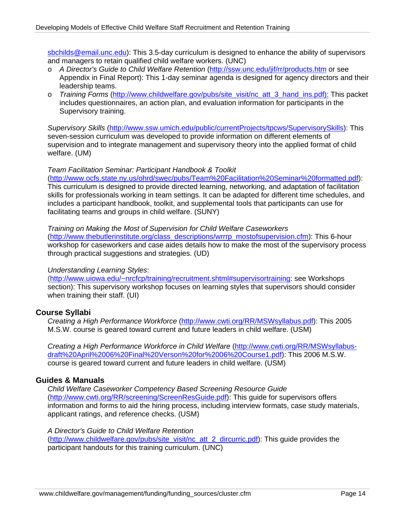[sbchilds@email.unc.edu](mailto:sbchilds@email.unc.edu)): This 3.5-day curriculum is designed to enhance the ability of supervisors and managers to retain qualified child welfare workers. (UNC)

- o *A Director's Guide to Child Welfare Retention* [\(http://ssw.unc.edu/jif/rr/products.htm](http://ssw.unc.edu/jif/rr/products.htm) or see Appendix in Final Report): This 1-day seminar agenda is designed for agency directors and their leadership teams.
- o *Training Forms* ([http://www.childwelfare.gov/pubs/site\\_visit/nc\\_att\\_3\\_hand\\_ins.pdf\):](http://www.childwelfare.gov/pubs/site_visit/nc_att_3_hand_ins.pdf):) This packet includes questionnaires, an action plan, and evaluation information for participants in the Supervisory training.

*Supervisory Skills* ([http://www.ssw.umich.edu/public/currentProjects/tpcws/SupervisorySkills\)](http://www.ssw.umich.edu/public/currentProjects/tpcws/SupervisorySkills/): This seven-session curriculum was developed to provide information on different elements of supervision and to integrate management and supervisory theory into the applied format of child welfare. (UM)

#### *Team Facilitation Seminar: Participant Handbook & Toolkit*

(<http://www.ocfs.state.ny.us/ohrd/swec/pubs/Team%20Facilitation%20Seminar%20formatted.pdf>): This curriculum is designed to provide directed learning, networking, and adaptation of facilitation skills for professionals working in team settings. It can be adapted for different time schedules, and includes a participant handbook, toolkit, and supplemental tools that participants can use for facilitating teams and groups in child welfare. (SUNY)

#### *Training on Making the Most of Supervision for Child Welfare Caseworkers*

([http://www.thebutlerinstitute.org/class\\_descriptions/wrrrp\\_mostofsupervision.cfm](http://www.thebutlerinstitute.org/class_descriptions/wrrrp_mostofsupervision.cfm)): This 6-hour workshop for caseworkers and case aides details how to make the most of the supervisory process through practical suggestions and strategies. (UD)

#### *Understanding Learning Styles*:

(<http://www.uiowa.edu/~nrcfcp/training/recruitment.shtml#supervisortraining>: see Workshops section): This supervisory workshop focuses on learning styles that supervisors should consider when training their staff. (UI)

## **Course Syllabi**

*Creating a High Performance Workforce* [\(http://www.cwti.org/RR/MSWsyllabus.pdf\)](http://www.cwti.org/RR/MSWsyllabus.pdf): This 2005 M.S.W. course is geared toward current and future leaders in child welfare. (USM)

*Creating a High Performance Workforce in Child Welfare* [\(http://www.cwti.org/RR/MSWsyllabus](http://www.cwti.org/RR/MSWsyllabus-draft%20April%2006%20Final%20Verson%20for%2006%20Course1.pdf)[draft%20April%2006%20Final%20Verson%20for%2006%20Course1.pdf](http://www.cwti.org/RR/MSWsyllabus-draft%20April%2006%20Final%20Verson%20for%2006%20Course1.pdf)): This 2006 M.S.W. course is geared toward current and future leaders in child welfare. (USM)

## **Guides & Manuals**

*Child Welfare Caseworker Competency Based Screening Resource Guide* ([http://www.cwti.org/RR/screening/ScreenResGuide.pdf\)](http://www.cwti.org/RR/screening/ScreenResGuide.pdf): This guide for supervisors offers information and forms to aid the hiring process, including interview formats, case study materials, applicant ratings, and reference checks. (USM)

#### *A Director's Guide to Child Welfare Retention*

([http://www.childwelfare.gov/pubs/site\\_visit/nc\\_att\\_2\\_dircurric.pdf\)](http://www.childwelfare.gov/pubs/site_visit/nc_att_2_dircurric.pdf): This guide provides the participant handouts for this training curriculum. (UNC)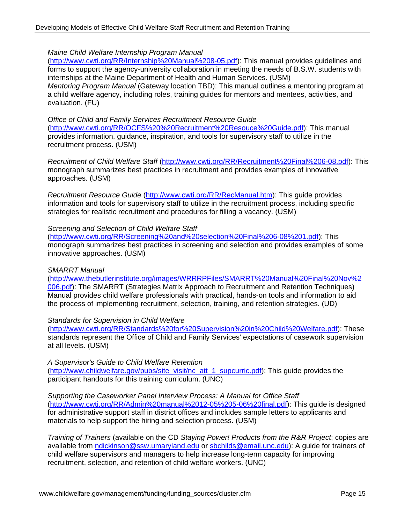## *Maine Child Welfare Internship Program Manual*

([http://www.cwti.org/RR/Internship%20Manual%208-05.pdf\)](http://www.cwti.org/RR/Internship%20Manual%208-05.pdf): This manual provides guidelines and forms to support the agency-university collaboration in meeting the needs of B.S.W. students with internships at the Maine Department of Health and Human Services. (USM) *Mentoring Program Manual* (Gateway location TBD): This manual outlines a mentoring program at a child welfare agency, including roles, training guides for mentors and mentees, activities, and evaluation. (FU)

*Office of Child and Family Services Recruitment Resource Guide* (<http://www.cwti.org/RR/OCFS%20%20Recruitment%20Resouce%20Guide.pdf>): This manual provides information, guidance, inspiration, and tools for supervisory staff to utilize in the recruitment process. (USM)

*Recruitment of Child Welfare Staff* ([http://www.cwti.org/RR/Recruitment%20Final%206-08.pdf\)](http://www.cwti.org/RR/Recruitment%20Final%206-08.pdf): This monograph summarizes best practices in recruitment and provides examples of innovative approaches. (USM)

*Recruitment Resource Guide* [\(http://www.cwti.org/RR/RecManual.htm\)](http://www.cwti.org/RR/RecManual.htm): This guide provides information and tools for supervisory staff to utilize in the recruitment process, including specific strategies for realistic recruitment and procedures for filling a vacancy. (USM)

#### *Screening and Selection of Child Welfare Staff*

([http://www.cwti.org/RR/Screening%20and%20selection%20Final%206-08%201.pdf\)](http://www.cwti.org/RR/Screening%20and%20selection%20Final%206-08%201.pdf): This monograph summarizes best practices in screening and selection and provides examples of some innovative approaches. (USM)

## *SMARRT Manual*

([http://www.thebutlerinstitute.org/images/WRRRPFiles/SMARRT%20Manual%20Final%20Nov%2](http://www.thebutlerinstitute.org/images/WRRRPFiles/SMARRT%20Manual%20Final%20Nov%2006.pdf) [006.pdf\)](http://www.thebutlerinstitute.org/images/WRRRPFiles/SMARRT%20Manual%20Final%20Nov%2006.pdf): The SMARRT (Strategies Matrix Approach to Recruitment and Retention Techniques) Manual provides child welfare professionals with practical, hands-on tools and information to aid the process of implementing recruitment, selection, training, and retention strategies. (UD)

#### *Standards for Supervision in Child Welfare*

(<http://www.cwti.org/RR/Standards%20for%20Supervision%20in%20Child%20Welfare.pdf>): These standards represent the Office of Child and Family Services' expectations of casework supervision at all levels. (USM)

*A Supervisor's Guide to Child Welfare Retention* ([http://www.childwelfare.gov/pubs/site\\_visit/nc\\_att\\_1\\_supcurric.pdf](http://www.childwelfare.gov/pubs/site_visit/nc_att_1_supcurric.pdf)): This guide provides the participant handouts for this training curriculum. (UNC)

*Supporting the Caseworker Panel Interview Process: A Manual for Office Staff* ([http://www.cwti.org/RR/Admin%20manual%2012-05%205-06%20final.pdf\)](http://www.cwti.org/RR/Admin%20manual%2012-05%205-06%20final.pdf): This guide is designed for administrative support staff in district offices and includes sample letters to applicants and materials to help support the hiring and selection process. (USM)

*Training of Trainers* (available on the CD *Staying Power! Products from the R&R Project*; copies are available from [ndickinson@ssw.umaryland.edu](mailto:ndickinson@ssw.umaryland.edu) or [sbchilds@email.unc.edu\)](mailto:sbchilds@email.unc.edu): A guide for trainers of child welfare supervisors and managers to help increase long-term capacity for improving recruitment, selection, and retention of child welfare workers. (UNC)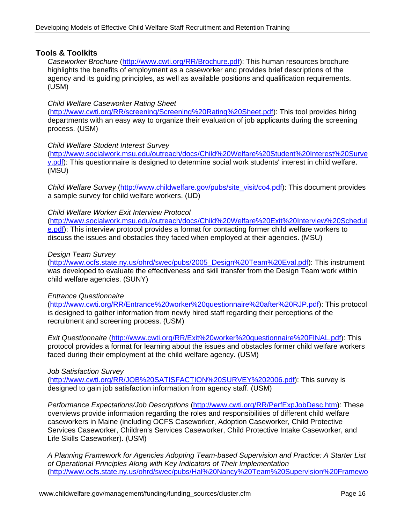## **Tools & Toolkits**

*Caseworker Brochure* [\(http://www.cwti.org/RR/Brochure.pdf](http://www.cwti.org/RR/Brochure.pdf)): This human resources brochure highlights the benefits of employment as a caseworker and provides brief descriptions of the agency and its guiding principles, as well as available positions and qualification requirements. (USM)

## *Child Welfare Caseworker Rating Sheet*

(<http://www.cwti.org/RR/screening/Screening%20Rating%20Sheet.pdf>): This tool provides hiring departments with an easy way to organize their evaluation of job applicants during the screening process. (USM)

#### *Child Welfare Student Interest Survey*

([http://www.socialwork.msu.edu/outreach/docs/Child%20Welfare%20Student%20Interest%20Surve](http://www.socialwork.msu.edu/outreach/docs/Child%20Welfare%20Student%20Interest%20Survey.pdf) [y.pdf\)](http://www.socialwork.msu.edu/outreach/docs/Child%20Welfare%20Student%20Interest%20Survey.pdf): This questionnaire is designed to determine social work students' interest in child welfare. (MSU)

*Child Welfare Survey* [\(http://www.childwelfare.gov/pubs/site\\_visit/co4.pdf\)](http://www.childwelfare.gov/pubs/site_visit/co4.pdf): This document provides a sample survey for child welfare workers. (UD)

#### *Child Welfare Worker Exit Interview Protocol*

([http://www.socialwork.msu.edu/outreach/docs/Child%20Welfare%20Exit%20Interview%20Schedul](http://www.socialwork.msu.edu/outreach/docs/Child%20Welfare%20Exit%20Interview%20Schedule.pdf) [e.pdf](http://www.socialwork.msu.edu/outreach/docs/Child%20Welfare%20Exit%20Interview%20Schedule.pdf)): This interview protocol provides a format for contacting former child welfare workers to discuss the issues and obstacles they faced when employed at their agencies. (MSU)

#### *Design Team Survey*

([http://www.ocfs.state.ny.us/ohrd/swec/pubs/2005\\_Design%20Team%20Eval.pdf](http://www.ocfs.state.ny.us/ohrd/swec/pubs/2005_Design%20Team%20Eval.pdf)): This instrument was developed to evaluate the effectiveness and skill transfer from the Design Team work within child welfare agencies. (SUNY)

#### *Entrance Questionnaire*

(<http://www.cwti.org/RR/Entrance%20worker%20questionnaire%20after%20RJP.pdf>): This protocol is designed to gather information from newly hired staff regarding their perceptions of the recruitment and screening process. (USM)

*Exit Questionnaire* ([http://www.cwti.org/RR/Exit%20worker%20questionnaire%20FINAL.pdf\)](http://www.cwti.org/RR/Exit%20worker%20questionnaire%20FINAL.pdf): This protocol provides a format for learning about the issues and obstacles former child welfare workers faced during their employment at the child welfare agency. (USM)

*Job Satisfaction Survey*

(<http://www.cwti.org/RR/JOB%20SATISFACTION%20SURVEY%202006.pdf>): This survey is designed to gain job satisfaction information from agency staff. (USM)

*Performance Expectations/Job Descriptions* [\(http://www.cwti.org/RR/PerfExpJobDesc.htm\)](http://www.cwti.org/RR/PerfExpJobDesc.htm): These overviews provide information regarding the roles and responsibilities of different child welfare caseworkers in Maine (including OCFS Caseworker, Adoption Caseworker, Child Protective Services Caseworker, Children's Services Caseworker, Child Protective Intake Caseworker, and Life Skills Caseworker). (USM)

*A Planning Framework for Agencies Adopting Team-based Supervision and Practice: A Starter List of Operational Principles Along with Key Indicators of Their Implementation*  ([http://www.ocfs.state.ny.us/ohrd/swec/pubs/Hal%20Nancy%20Team%20Supervision%20Framewo](http://www.ocfs.state.ny.us/ohrd/swec/pubs/Hal%20Nancy%20Team%20Supervision%20Framework%20Tool%202010.pdf)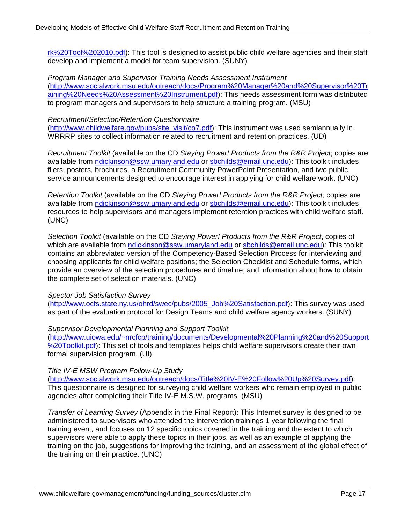[rk%20Tool%202010.pdf](http://www.ocfs.state.ny.us/ohrd/swec/pubs/Hal%20Nancy%20Team%20Supervision%20Framework%20Tool%202010.pdf)): This tool is designed to assist public child welfare agencies and their staff develop and implement a model for team supervision. (SUNY)

*Program Manager and Supervisor Training Needs Assessment Instrument*  ([http://www.socialwork.msu.edu/outreach/docs/Program%20Manager%20and%20Supervisor%20Tr](http://www.socialwork.msu.edu/outreach/docs/Program%20Manager%20and%20Supervisor%20Training%20Needs%20Assessment%20Instrument.pdf) [aining%20Needs%20Assessment%20Instrument.pdf](http://www.socialwork.msu.edu/outreach/docs/Program%20Manager%20and%20Supervisor%20Training%20Needs%20Assessment%20Instrument.pdf)): This needs assessment form was distributed to program managers and supervisors to help structure a training program. (MSU)

#### *Recruitment/Selection/Retention Questionnaire*

([http://www.childwelfare.gov/pubs/site\\_visit/co7.pdf](http://www.childwelfare.gov/pubs/site_visit/co7.pdf)): This instrument was used semiannually in WRRRP sites to collect information related to recruitment and retention practices. (UD)

*Recruitment Toolkit* (available on the CD *Staying Power! Products from the R&R Project*; copies are available from [ndickinson@ssw.umaryland.edu](mailto:ndickinson@ssw.umaryland.edu) or [sbchilds@email.unc.edu\)](mailto:sbchilds@email.unc.edu): This toolkit includes fliers, posters, brochures, a Recruitment Community PowerPoint Presentation, and two public service announcements designed to encourage interest in applying for child welfare work. (UNC)

*Retention Toolkit* (available on the CD *Staying Power! Products from the R&R Project*; copies are available from [ndickinson@ssw.umaryland.edu](mailto:ndickinson@ssw.umaryland.edu) or [sbchilds@email.unc.edu\)](mailto:sbchilds@email.unc.edu): This toolkit includes resources to help supervisors and managers implement retention practices with child welfare staff. (UNC)

*Selection Toolkit* (available on the CD *Staying Power! Products from the R&R Project*, copies of which are available from [ndickinson@ssw.umaryland.edu](mailto:ndickinson@ssw.umaryland.edu) or [sbchilds@email.unc.edu\)](mailto:sbchilds@email.unc.edu): This toolkit contains an abbreviated version of the Competency-Based Selection Process for interviewing and choosing applicants for child welfare positions; the Selection Checklist and Schedule forms, which provide an overview of the selection procedures and timeline; and information about how to obtain the complete set of selection materials. (UNC)

## *Spector Job Satisfaction Survey*

([http://www.ocfs.state.ny.us/ohrd/swec/pubs/2005\\_Job%20Satisfaction.pdf](http://www.ocfs.state.ny.us/ohrd/swec/pubs/2005_Job%20Satisfaction.pdf)): This survey was used as part of the evaluation protocol for Design Teams and child welfare agency workers. (SUNY)

## *Supervisor Developmental Planning and Support Toolkit*

([http://www.uiowa.edu/~nrcfcp/training/documents/Developmental%20Planning%20and%20Support](http://www.uiowa.edu/%7Enrcfcp/training/documents/Developmental%20Planning%20and%20Support%20Toolkit.pdf) [%20Toolkit.pdf\)](http://www.uiowa.edu/%7Enrcfcp/training/documents/Developmental%20Planning%20and%20Support%20Toolkit.pdf): This set of tools and templates helps child welfare supervisors create their own formal supervision program. (UI)

## *Title IV-E MSW Program Follow-Up Study*

([http://www.socialwork.msu.edu/outreach/docs/Title%20IV-E%20Follow%20Up%20Survey.pdf\)](http://www.socialwork.msu.edu/outreach/docs/Title%20IV-E%20Follow%20Up%20Survey.pdf): This questionnaire is designed for surveying child welfare workers who remain employed in public agencies after completing their Title IV-E M.S.W. programs. (MSU)

*Transfer of Learning Survey* (Appendix in the Final Report): This Internet survey is designed to be administered to supervisors who attended the intervention trainings 1 year following the final training event, and focuses on 12 specific topics covered in the training and the extent to which supervisors were able to apply these topics in their jobs, as well as an example of applying the training on the job, suggestions for improving the training, and an assessment of the global effect of the training on their practice. (UNC)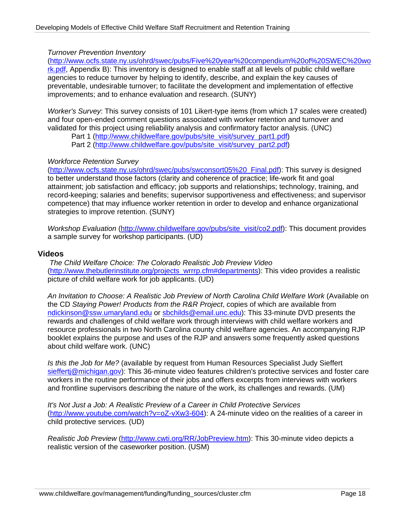## *Turnover Prevention Inventory*

([http://www.ocfs.state.ny.us/ohrd/swec/pubs/Five%20year%20compendium%20of%20SWEC%20wo](http://www.ocfs.state.ny.us/ohrd/swec/pubs/Five%20year%20compendium%20of%20SWEC%20work.pdf)

[rk.pdf,](http://www.ocfs.state.ny.us/ohrd/swec/pubs/Five%20year%20compendium%20of%20SWEC%20work.pdf) Appendix B): This inventory is designed to enable staff at all levels of public child welfare agencies to reduce turnover by helping to identify, describe, and explain the key causes of preventable, undesirable turnover; to facilitate the development and implementation of effective improvements; and to enhance evaluation and research. (SUNY)

*Worker's Survey*: This survey consists of 101 Likert-type items (from which 17 scales were created) and four open-ended comment questions associated with worker retention and turnover and validated for this project using reliability analysis and confirmatory factor analysis. (UNC)

Part 1 [\(http://www.childwelfare.gov/pubs/site\\_visit/survey\\_part1.pdf](http://www.childwelfare.gov/pubs/site_visit/survey_part1.pdf)) Part 2 [\(http://www.childwelfare.gov/pubs/site\\_visit/survey\\_part2.pdf](http://www.childwelfare.gov/pubs/site_visit/survey_part2.pdf))

## *Workforce Retention Survey*

([http://www.ocfs.state.ny.us/ohrd/swec/pubs/swconsort05%20\\_Final.pdf\)](http://www.ocfs.state.ny.us/ohrd/swec/pubs/swconsort05%20_Final.pdf): This survey is designed to better understand those factors (clarity and coherence of practice; life-work fit and goal attainment; job satisfaction and efficacy; job supports and relationships; technology, training, and record-keeping; salaries and benefits; supervisor supportiveness and effectiveness; and supervisor competence) that may influence worker retention in order to develop and enhance organizational strategies to improve retention. (SUNY)

*Workshop Evaluation* ([http://www.childwelfare.gov/pubs/site\\_visit/co2.pdf](http://www.childwelfare.gov/pubs/site_visit/co2.pdf)): This document provides a sample survey for workshop participants. (UD)

#### **Videos**

*The Child Welfare Choice: The Colorado Realistic Job Preview Video* ([http://www.thebutlerinstitute.org/projects\\_wrrrp.cfm#departments](http://www.thebutlerinstitute.org/projects_wrrrp.cfm%23departments)): This video provides a realistic picture of child welfare work for job applicants. (UD)

*An Invitation to Choose: A Realistic Job Preview of North Carolina Child Welfare Work* (Available on the CD *Staying Power! Products from the R&R Project*, copies of which are available from [ndickinson@ssw.umaryland.edu](mailto:ndickinson@ssw.umaryland.edu) or [sbchilds@email.unc.edu](mailto:sbchilds@email.unc.edu)): This 33-minute DVD presents the rewards and challenges of child welfare work through interviews with child welfare workers and resource professionals in two North Carolina county child welfare agencies. An accompanying RJP booklet explains the purpose and uses of the RJP and answers some frequently asked questions about child welfare work. (UNC)

*Is this the Job for Me?* (available by request from Human Resources Specialist Judy Sieffert [sieffertj@michigan.gov](https://exchange.albany.edu/owa/redir.aspx?C=17c067afb5234e0e98f5a989bce7e0d2&URL=mailto%3asieffertj%40michigan.gov)): This 36-minute video features children's protective services and foster care workers in the routine performance of their jobs and offers excerpts from interviews with workers and frontline supervisors describing the nature of the work, its challenges and rewards. (UM)

*It's Not Just a Job: A Realistic Preview of a Career in Child Protective Services* (<http://www.youtube.com/watch?v=oZ-vXw3-604>): A 24-minute video on the realities of a career in child protective services. (UD)

*Realistic Job Preview* [\(http://www.cwti.org/RR/JobPreview.htm\)](http://www.cwti.org/RR/JobPreview.htm): This 30-minute video depicts a realistic version of the caseworker position. (USM)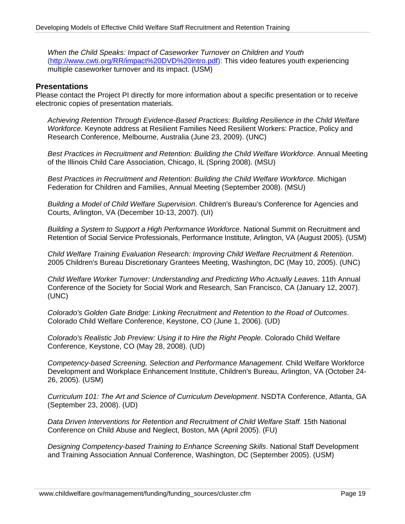*When the Child Speaks: Impact of Caseworker Turnover on Children and Youth* (<http://www.cwti.org/RR/impact%20DVD%20intro.pdf>): This video features youth experiencing multiple caseworker turnover and its impact. (USM)

## **Presentations**

Please contact the Project PI directly for more information about a specific presentation or to receive electronic copies of presentation materials.

*Achieving Retention Through Evidence-Based Practices: Building Resilience in the Child Welfare Workforce.* Keynote address at Resilient Families Need Resilient Workers: Practice, Policy and Research Conference, Melbourne, Australia (June 23, 2009). (UNC)

*Best Practices in Recruitment and Retention: Building the Child Welfare Workforce*. Annual Meeting of the Illinois Child Care Association, Chicago, IL (Spring 2008). (MSU)

*Best Practices in Recruitment and Retention: Building the Child Welfare Workforce.* Michigan Federation for Children and Families, Annual Meeting (September 2008). (MSU)

*Building a Model of Child Welfare Supervision*. Children's Bureau's Conference for Agencies and Courts, Arlington, VA (December 10-13, 2007). (UI)

*Building a System to Support a High Performance Workforce*. National Summit on Recruitment and Retention of Social Service Professionals, Performance Institute, Arlington, VA (August 2005). (USM)

*Child Welfare Training Evaluation Research: Improving Child Welfare Recruitment & Retention*. 2005 Children's Bureau Discretionary Grantees Meeting, Washington, DC (May 10, 2005). (UNC)

*Child Welfare Worker Turnover: Understanding and Predicting Who Actually Leaves*. 11th Annual Conference of the Society for Social Work and Research, San Francisco, CA (January 12, 2007). (UNC)

*Colorado's Golden Gate Bridge: Linking Recruitment and Retention to the Road of Outcomes*. Colorado Child Welfare Conference, Keystone, CO (June 1, 2006). (UD)

*Colorado's Realistic Job Preview: Using it to Hire the Right People*. Colorado Child Welfare Conference, Keystone, CO (May 28, 2008). (UD)

*Competency-based Screening, Selection and Performance Management.* Child Welfare Workforce Development and Workplace Enhancement Institute, Children's Bureau, Arlington, VA (October 24- 26, 2005). (USM)

*Curriculum 101: The Art and Science of Curriculum Development*. NSDTA Conference, Atlanta, GA (September 23, 2008). (UD)

*Data Driven Interventions for Retention and Recruitment of Child Welfare Staff.* 15th National Conference on Child Abuse and Neglect, Boston, MA (April 2005). (FU)

*Designing Competency-based Training to Enhance Screening Skills*. National Staff Development and Training Association Annual Conference, Washington, DC (September 2005). (USM)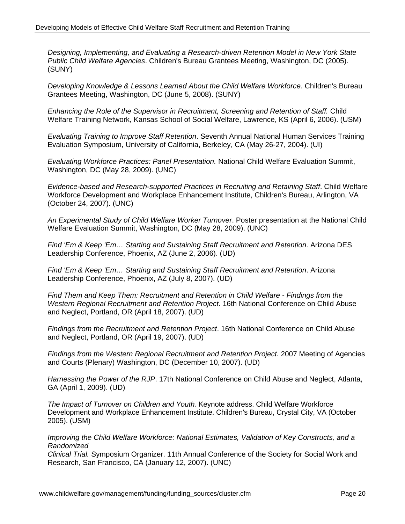*Designing, Implementing, and Evaluating a Research-driven Retention Model in New York State Public Child Welfare Agencies*. Children's Bureau Grantees Meeting, Washington, DC (2005). (SUNY)

*Developing Knowledge & Lessons Learned About the Child Welfare Workforce.* Children's Bureau Grantees Meeting, Washington, DC (June 5, 2008). (SUNY)

*Enhancing the Role of the Supervisor in Recruitment, Screening and Retention of Staff.* Child Welfare Training Network, Kansas School of Social Welfare, Lawrence, KS (April 6, 2006). (USM)

*Evaluating Training to Improve Staff Retention*. Seventh Annual National Human Services Training Evaluation Symposium, University of California, Berkeley, CA (May 26-27, 2004). (UI)

*Evaluating Workforce Practices: Panel Presentation.* National Child Welfare Evaluation Summit, Washington, DC (May 28, 2009). (UNC)

*Evidence-based and Research-supported Practices in Recruiting and Retaining Staff*. Child Welfare Workforce Development and Workplace Enhancement Institute, Children's Bureau, Arlington, VA (October 24, 2007). (UNC)

*An Experimental Study of Child Welfare Worker Turnover*. Poster presentation at the National Child Welfare Evaluation Summit, Washington, DC (May 28, 2009). (UNC)

*Find 'Em & Keep 'Em… Starting and Sustaining Staff Recruitment and Retention*. Arizona DES Leadership Conference, Phoenix, AZ (June 2, 2006). (UD)

*Find 'Em & Keep 'Em… Starting and Sustaining Staff Recruitment and Retention*. Arizona Leadership Conference, Phoenix, AZ (July 8, 2007). (UD)

*Find Them and Keep Them: Recruitment and Retention in Child Welfare - Findings from the Western Regional Recruitment and Retention Project*. 16th National Conference on Child Abuse and Neglect, Portland, OR (April 18, 2007). (UD)

*Findings from the Recruitment and Retention Project*. 16th National Conference on Child Abuse and Neglect, Portland, OR (April 19, 2007). (UD)

*Findings from the Western Regional Recruitment and Retention Project.* 2007 Meeting of Agencies and Courts (Plenary) Washington, DC (December 10, 2007). (UD)

*Harnessing the Power of the RJP*. 17th National Conference on Child Abuse and Neglect, Atlanta, GA (April 1, 2009). (UD)

*The Impact of Turnover on Children and Youth.* Keynote address. Child Welfare Workforce Development and Workplace Enhancement Institute. Children's Bureau, Crystal City, VA (October 2005). (USM)

*Improving the Child Welfare Workforce: National Estimates, Validation of Key Constructs, and a Randomized* 

*Clinical Trial.* Symposium Organizer. 11th Annual Conference of the Society for Social Work and Research, San Francisco, CA (January 12, 2007). (UNC)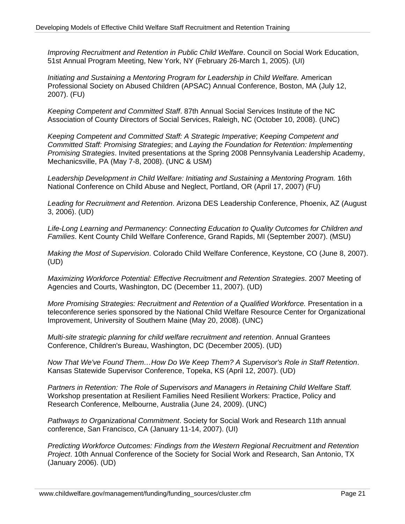*Improving Recruitment and Retention in Public Child Welfare*. Council on Social Work Education, 51st Annual Program Meeting, New York, NY (February 26-March 1, 2005). (UI)

*Initiating and Sustaining a Mentoring Program for Leadership in Child Welfare.* American Professional Society on Abused Children (APSAC) Annual Conference, Boston, MA (July 12, 2007). (FU)

*Keeping Competent and Committed Staff*. 87th Annual Social Services Institute of the NC Association of County Directors of Social Services, Raleigh, NC (October 10, 2008). (UNC)

*Keeping Competent and Committed Staff: A Strategic Imperative*; *Keeping Competent and Committed Staff: Promising Strategies*; and *Laying the Foundation for Retention: Implementing Promising Strategies*. Invited presentations at the Spring 2008 Pennsylvania Leadership Academy, Mechanicsville, PA (May 7-8, 2008). (UNC & USM)

*Leadership Development in Child Welfare: Initiating and Sustaining a Mentoring Program.* 16th National Conference on Child Abuse and Neglect, Portland, OR (April 17, 2007) (FU)

*Leading for Recruitment and Retention*. Arizona DES Leadership Conference, Phoenix, AZ (August 3, 2006). (UD)

*Life-Long Learning and Permanency: Connecting Education to Quality Outcomes for Children and Families*. Kent County Child Welfare Conference, Grand Rapids, MI (September 2007). (MSU)

*Making the Most of Supervision*. Colorado Child Welfare Conference, Keystone, CO (June 8, 2007). (UD)

*Maximizing Workforce Potential: Effective Recruitment and Retention Strategies*. 2007 Meeting of Agencies and Courts, Washington, DC (December 11, 2007). (UD)

*More Promising Strategies: Recruitment and Retention of a Qualified Workforce.* Presentation in a teleconference series sponsored by the National Child Welfare Resource Center for Organizational Improvement, University of Southern Maine (May 20, 2008). (UNC)

*Multi-site strategic planning for child welfare recruitment and retention*. Annual Grantees Conference, Children's Bureau, Washington, DC (December 2005). (UD)

*Now That We've Found Them…How Do We Keep Them? A Supervisor's Role in Staff Retention*. Kansas Statewide Supervisor Conference, Topeka, KS (April 12, 2007). (UD)

*Partners in Retention: The Role of Supervisors and Managers in Retaining Child Welfare Staff.* Workshop presentation at Resilient Families Need Resilient Workers: Practice, Policy and Research Conference, Melbourne, Australia (June 24, 2009). (UNC)

*Pathways to Organizational Commitment*. Society for Social Work and Research 11th annual conference, San Francisco, CA (January 11-14, 2007). (UI)

*Predicting Workforce Outcomes: Findings from the Western Regional Recruitment and Retention Project*. 10th Annual Conference of the Society for Social Work and Research, San Antonio, TX (January 2006). (UD)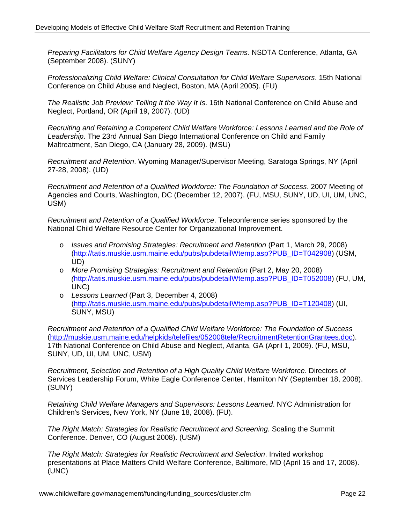*Preparing Facilitators for Child Welfare Agency Design Teams.* NSDTA Conference, Atlanta, GA (September 2008). (SUNY)

*Professionalizing Child Welfare: Clinical Consultation for Child Welfare Supervisors*. 15th National Conference on Child Abuse and Neglect, Boston, MA (April 2005). (FU)

*The Realistic Job Preview: Telling It the Way It Is*. 16th National Conference on Child Abuse and Neglect, Portland, OR (April 19, 2007). (UD)

*Recruiting and Retaining a Competent Child Welfare Workforce: Lessons Learned and the Role of Leadership*. The 23rd Annual San Diego International Conference on Child and Family Maltreatment, San Diego, CA (January 28, 2009). (MSU)

*Recruitment and Retention*. Wyoming Manager/Supervisor Meeting, Saratoga Springs, NY (April 27-28, 2008). (UD)

*Recruitment and Retention of a Qualified Workforce: The Foundation of Success*. 2007 Meeting of Agencies and Courts, Washington, DC (December 12, 2007). (FU, MSU, SUNY, UD, UI, UM, UNC, USM)

*Recruitment and Retention of a Qualified Workforce*. Teleconference series sponsored by the National Child Welfare Resource Center for Organizational Improvement.

- o *Issues and Promising Strategies: Recruitment and Retention* (Part 1, March 29, 2008) ([http://tatis.muskie.usm.maine.edu/pubs/pubdetailWtemp.asp?PUB\\_ID=T042908](http://tatis.muskie.usm.maine.edu/pubs/pubdetailWtemp.asp?PUB_ID=T042908)) (USM, UD)
- o *More Promising Strategies: Recruitment and Retention* (Part 2, May 20, 2008) *(*[http://tatis.muskie.usm.maine.edu/pubs/pubdetailWtemp.asp?PUB\\_ID=T052008](http://tatis.muskie.usm.maine.edu/pubs/pubdetailWtemp.asp?PUB_ID=T052008)) (FU, UM, UNC)
- o *Lessons Learned* (Part 3, December 4, 2008) ([http://tatis.muskie.usm.maine.edu/pubs/pubdetailWtemp.asp?PUB\\_ID=T120408](http://tatis.muskie.usm.maine.edu/pubs/pubdetailWtemp.asp?PUB_ID=T120408)) (UI, SUNY, MSU)

*Recruitment and Retention of a Qualified Child Welfare Workforce: The Foundation of Success* (<http://muskie.usm.maine.edu/helpkids/telefiles/052008tele/RecruitmentRetentionGrantees.doc>). 17th National Conference on Child Abuse and Neglect, Atlanta, GA (April 1, 2009). (FU, MSU, SUNY, UD, UI, UM, UNC, USM)

*Recruitment, Selection and Retention of a High Quality Child Welfare Workforce*. Directors of Services Leadership Forum, White Eagle Conference Center, Hamilton NY (September 18, 2008). (SUNY)

*Retaining Child Welfare Managers and Supervisors: Lessons Learned*. NYC Administration for Children's Services, New York, NY (June 18, 2008). (FU).

*The Right Match: Strategies for Realistic Recruitment and Screening.* Scaling the Summit Conference. Denver, CO (August 2008). (USM)

*The Right Match: Strategies for Realistic Recruitment and Selection*. Invited workshop presentations at Place Matters Child Welfare Conference, Baltimore, MD (April 15 and 17, 2008). (UNC)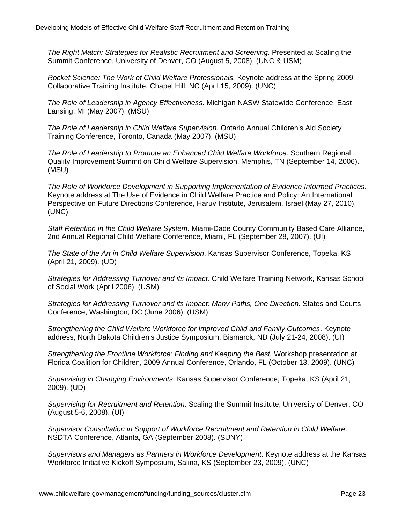*The Right Match: Strategies for Realistic Recruitment and Screening.* Presented at Scaling the Summit Conference, University of Denver, CO (August 5, 2008). (UNC & USM)

*Rocket Science: The Work of Child Welfare Professionals.* Keynote address at the Spring 2009 Collaborative Training Institute, Chapel Hill, NC (April 15, 2009). (UNC)

*The Role of Leadership in Agency Effectiveness*. Michigan NASW Statewide Conference, East Lansing, MI (May 2007). (MSU)

*The Role of Leadership in Child Welfare Supervision*. Ontario Annual Children's Aid Society Training Conference, Toronto, Canada (May 2007). (MSU)

*The Role of Leadership to Promote an Enhanced Child Welfare Workforce*. Southern Regional Quality Improvement Summit on Child Welfare Supervision, Memphis, TN (September 14, 2006). (MSU)

*The Role of Workforce Development in Supporting Implementation of Evidence Informed Practices*. Keynote address at The Use of Evidence in Child Welfare Practice and Policy: An International Perspective on Future Directions Conference, Haruv Institute, Jerusalem, Israel (May 27, 2010). (UNC)

*Staff Retention in the Child Welfare System*. Miami-Dade County Community Based Care Alliance, 2nd Annual Regional Child Welfare Conference, Miami, FL (September 28, 2007). (UI)

*The State of the Art in Child Welfare Supervision*. Kansas Supervisor Conference, Topeka, KS (April 21, 2009). (UD)

*Strategies for Addressing Turnover and its Impact.* Child Welfare Training Network, Kansas School of Social Work (April 2006). (USM)

*Strategies for Addressing Turnover and its Impact: Many Paths, One Direction.* States and Courts Conference, Washington, DC (June 2006). (USM)

*Strengthening the Child Welfare Workforce for Improved Child and Family Outcomes*. Keynote address, North Dakota Children's Justice Symposium, Bismarck, ND (July 21-24, 2008). (UI)

*Strengthening the Frontline Workforce: Finding and Keeping the Best.* Workshop presentation at Florida Coalition for Children, 2009 Annual Conference, Orlando, FL (October 13, 2009). (UNC)

*Supervising in Changing Environments*. Kansas Supervisor Conference, Topeka, KS (April 21, 2009). (UD)

*Supervising for Recruitment and Retention*. Scaling the Summit Institute, University of Denver, CO (August 5-6, 2008). (UI)

*Supervisor Consultation in Support of Workforce Recruitment and Retention in Child Welfare*. NSDTA Conference, Atlanta, GA (September 2008). (SUNY)

*Supervisors and Managers as Partners in Workforce Development*. Keynote address at the Kansas Workforce Initiative Kickoff Symposium, Salina, KS (September 23, 2009). (UNC)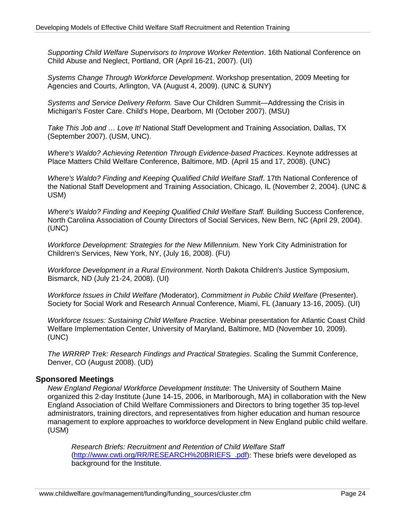*Supporting Child Welfare Supervisors to Improve Worker Retention*. 16th National Conference on Child Abuse and Neglect, Portland, OR (April 16-21, 2007). (UI)

*Systems Change Through Workforce Development*. Workshop presentation, 2009 Meeting for Agencies and Courts, Arlington, VA (August 4, 2009). (UNC & SUNY)

*Systems and Service Delivery Reform.* Save Our Children Summit—Addressing the Crisis in Michigan's Foster Care. Child's Hope, Dearborn, MI (October 2007). (MSU)

*Take This Job and … Love It!* National Staff Development and Training Association, Dallas, TX (September 2007). (USM, UNC).

*Where's Waldo? Achieving Retention Through Evidence-based Practices*. Keynote addresses at Place Matters Child Welfare Conference, Baltimore, MD. (April 15 and 17, 2008). (UNC)

*Where's Waldo? Finding and Keeping Qualified Child Welfare Staff*. 17th National Conference of the National Staff Development and Training Association, Chicago, IL (November 2, 2004). (UNC & USM)

*Where's Waldo? Finding and Keeping Qualified Child Welfare Staff.* Building Success Conference, North Carolina Association of County Directors of Social Services, New Bern, NC (April 29, 2004). (UNC)

*Workforce Development: Strategies for the New Millennium.* New York City Administration for Children's Services, New York, NY, (July 16, 2008). (FU)

*Workforce Development in a Rural Environment*. North Dakota Children's Justice Symposium, Bismarck, ND (July 21-24, 2008). (UI)

*Workforce Issues in Child Welfare (*Moderator), *Commitment in Public Child Welfare* (Presenter). Society for Social Work and Research Annual Conference, Miami, FL (January 13-16, 2005). (UI)

*Workforce Issues: Sustaining Child Welfare Practice*. Webinar presentation for Atlantic Coast Child Welfare Implementation Center, University of Maryland, Baltimore, MD (November 10, 2009). (UNC)

*The WRRRP Trek: Research Findings and Practical Strategies*. Scaling the Summit Conference, Denver, CO (August 2008). (UD)

## **Sponsored Meetings**

*New England Regional Workforce Development Institute*: The University of Southern Maine organized this 2-day Institute (June 14-15, 2006, in Marlborough, MA) in collaboration with the New England Association of Child Welfare Commissioners and Directors to bring together 35 top-level administrators, training directors, and representatives from higher education and human resource management to explore approaches to workforce development in New England public child welfare. (USM)

*Research Briefs: Recruitment and Retention of Child Welfare Staff* ([http://www.cwti.org/RR/RESEARCH%20BRIEFS\\_.pdf](http://www.cwti.org/RR/RESEARCH%20BRIEFS_.pdf)): These briefs were developed as background for the Institute.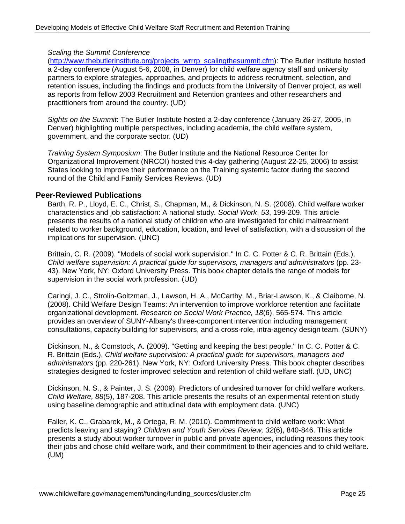## *Scaling the Summit Conference*

([http://www.thebutlerinstitute.org/projects\\_wrrrp\\_scalingthesummit.cfm](http://www.thebutlerinstitute.org/projects_wrrrp_scalingthesummit.cfm)): The Butler Institute hosted a 2-day conference (August 5-6, 2008, in Denver) for child welfare agency staff and university partners to explore strategies, approaches, and projects to address recruitment, selection, and retention issues, including the findings and products from the University of Denver project, as well as reports from fellow 2003 Recruitment and Retention grantees and other researchers and practitioners from around the country. (UD)

*Sights on the Summit*: The Butler Institute hosted a 2-day conference (January 26-27, 2005, in Denver) highlighting multiple perspectives, including academia, the child welfare system, government, and the corporate sector. (UD)

*Training System Symposium*: The Butler Institute and the National Resource Center for Organizational Improvement (NRCOI) hosted this 4-day gathering (August 22-25, 2006) to assist States looking to improve their performance on the Training systemic factor during the second round of the Child and Family Services Reviews. (UD)

## **Peer-Reviewed Publications**

Barth, R. P., Lloyd, E. C., Christ, S., Chapman, M., & Dickinson, N. S. (2008). Child welfare worker characteristics and job satisfaction: A national study*. Social Work*, *53*, 199-209. This article presents the results of a national study of children who are investigated for child maltreatment related to worker background, education, location, and level of satisfaction, with a discussion of the implications for supervision. (UNC)

Brittain, C. R. (2009). "Models of social work supervision." In C. C. Potter & C. R. Brittain (Eds.), *Child welfare supervision: A practical guide for supervisors, managers and administrators* (pp. 23- 43). New York, NY: Oxford University Press. This book chapter details the range of models for supervision in the social work profession. (UD)

Caringi, J. C., Strolin-Goltzman, J., Lawson, H. A., McCarthy, M., Briar-Lawson, K., & Claiborne, N. (2008). Child Welfare Design Teams: An intervention to improve workforce retention and facilitate organizational development. *Research on Social Work Practice, 18*(6), 565-574. This article provides an overview of SUNY-Albany's three-component intervention including management consultations, capacity building for supervisors, and a cross-role, intra-agency design team. (SUNY)

Dickinson, N., & Comstock, A. (2009). "Getting and keeping the best people." In C. C. Potter & C. R. Brittain (Eds.), *Child welfare supervision: A practical guide for supervisors, managers and administrators* (pp. 220-261). New York, NY: Oxford University Press. This book chapter describes strategies designed to foster improved selection and retention of child welfare staff. (UD, UNC)

Dickinson, N. S., & Painter, J. S. (2009). Predictors of undesired turnover for child welfare workers. *Child Welfare, 88*(5), 187-208. This article presents the results of an experimental retention study using baseline demographic and attitudinal data with employment data. (UNC)

Faller, K. C., Grabarek, M., & Ortega, R. M. (2010). Commitment to child welfare work: What predicts leaving and staying? *Children and Youth Services Review, 32*(6), 840-846. This article presents a study about worker turnover in public and private agencies, including reasons they took their jobs and chose child welfare work, and their commitment to their agencies and to child welfare. (UM)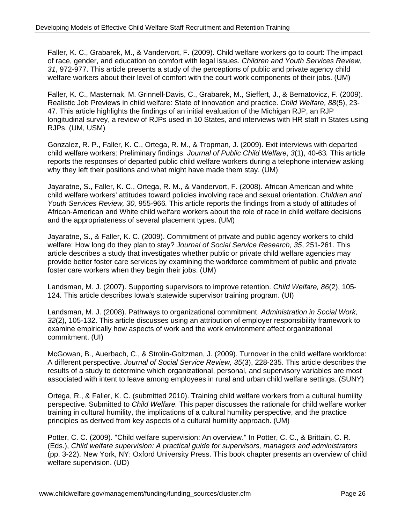Faller, K. C., Grabarek, M., & Vandervort, F. (2009). Child welfare workers go to court: The impact of race, gender, and education on comfort with legal issues. *Children and Youth Services Review*, *31*, 972-977. This article presents a study of the perceptions of public and private agency child welfare workers about their level of comfort with the court work components of their jobs. (UM)

Faller, K. C., Masternak, M. Grinnell-Davis, C., Grabarek, M., Sieffert, J., & Bernatovicz, F. (2009). Realistic Job Previews in child welfare: State of innovation and practice. *Child Welfare, 88*(5), 23- 47. This article highlights the findings of an initial evaluation of the Michigan RJP, an RJP longitudinal survey, a review of RJPs used in 10 States, and interviews with HR staff in States using RJPs. (UM, USM)

Gonzalez, R. P., Faller, K. C., Ortega, R. M., & Tropman, J. (2009). Exit interviews with departed child welfare workers: Preliminary findings. *Journal of Public Child Welfare*, *3*(1), 40-63*.* This article reports the responses of departed public child welfare workers during a telephone interview asking why they left their positions and what might have made them stay. (UM)

Jayaratne, S., Faller, K. C., Ortega, R. M., & Vandervort, F. (2008). African American and white child welfare workers' attitudes toward policies involving race and sexual orientation. *Children and Youth Services Review, 30,* 955-966*.* This article reports the findings from a study of attitudes of African-American and White child welfare workers about the role of race in child welfare decisions and the appropriateness of several placement types. (UM)

Jayaratne, S., & Faller, K. C. (2009). Commitment of private and public agency workers to child welfare: How long do they plan to stay? *Journal of Social Service Research, 35*, 251-261. This article describes a study that investigates whether public or private child welfare agencies may provide better foster care services by examining the workforce commitment of public and private foster care workers when they begin their jobs. (UM)

Landsman, M. J. (2007). Supporting supervisors to improve retention. *Child Welfare, 86*(2), 105- 124*.* This article describes Iowa's statewide supervisor training program. (UI)

Landsman, M. J. (2008). Pathways to organizational commitment. *Administration in Social Work, 32*(2), 105-132. This article discusses using an attribution of employer responsibility framework to examine empirically how aspects of work and the work environment affect organizational commitment. (UI)

McGowan, B., Auerbach, C., & Strolin-Goltzman, J. (2009). Turnover in the child welfare workforce: A different perspective. *Journal of Social Service Review, 35*(3), 228-235. This article describes the results of a study to determine which organizational, personal, and supervisory variables are most associated with intent to leave among employees in rural and urban child welfare settings. (SUNY)

Ortega, R., & Faller, K. C. (submitted 2010). Training child welfare workers from a cultural humility perspective. Submitted to *Child Welfare.* This paper discusses the rationale for child welfare worker training in cultural humility, the implications of a cultural humility perspective, and the practice principles as derived from key aspects of a cultural humility approach. (UM)

Potter, C. C. (2009). "Child welfare supervision: An overview." In Potter, C. C., & Brittain, C. R. (Eds.), *Child welfare supervision: A practical guide for supervisors, managers and administrators* (pp. 3-22). New York, NY: Oxford University Press. This book chapter presents an overview of child welfare supervision. (UD)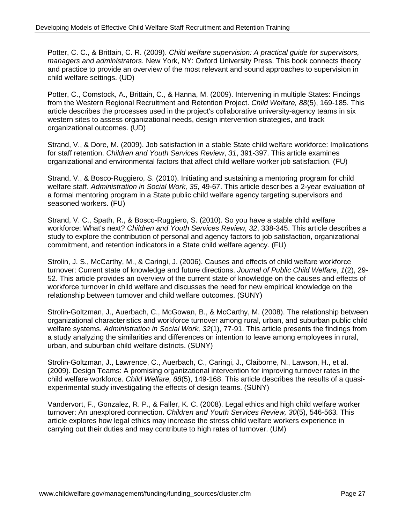Potter, C. C., & Brittain, C. R. (2009). *Child welfare supervision: A practical guide for supervisors, managers and administrators*. New York, NY: Oxford University Press. This book connects theory and practice to provide an overview of the most relevant and sound approaches to supervision in child welfare settings. (UD)

Potter, C., Comstock, A., Brittain, C., & Hanna, M. (2009). Intervening in multiple States: Findings from the Western Regional Recruitment and Retention Project. *Child Welfare, 88*(5), 169-185. This article describes the processes used in the project's collaborative university-agency teams in six western sites to assess organizational needs, design intervention strategies, and track organizational outcomes. (UD)

Strand, V., & Dore, M. (2009). Job satisfaction in a stable State child welfare workforce: Implications for staff retention. *Children and Youth Services Review*, *31*, 391-397. This article examines organizational and environmental factors that affect child welfare worker job satisfaction. (FU)

Strand, V., & Bosco-Ruggiero, S. (2010). Initiating and sustaining a mentoring program for child welfare staff. *Administration in Social Work, 35*, 49-67. This article describes a 2-year evaluation of a formal mentoring program in a State public child welfare agency targeting supervisors and seasoned workers. (FU)

Strand, V. C., Spath, R., & Bosco-Ruggiero, S. (2010). So you have a stable child welfare workforce: What's next? *Children and Youth Services Review, 32*, 338-345. This article describes a study to explore the contribution of personal and agency factors to job satisfaction, organizational commitment, and retention indicators in a State child welfare agency. (FU)

Strolin, J. S., McCarthy, M., & Caringi, J. (2006). Causes and effects of child welfare workforce turnover: Current state of knowledge and future directions. *Journal of Public Child Welfare*, *1*(2), 29- 52. This article provides an overview of the current state of knowledge on the causes and effects of workforce turnover in child welfare and discusses the need for new empirical knowledge on the relationship between turnover and child welfare outcomes. (SUNY)

Strolin-Goltzman, J., Auerbach, C., McGowan, B., & McCarthy, M. (2008). The relationship between organizational characteristics and workforce turnover among rural, urban, and suburban public child welfare systems. *Administration in Social Work, 32*(1), 77-91. This article presents the findings from a study analyzing the similarities and differences on intention to leave among employees in rural, urban, and suburban child welfare districts. (SUNY)

Strolin-Goltzman, J., Lawrence, C., Auerbach, C., Caringi, J., Claiborne, N., Lawson, H., et al. (2009). Design Teams: A promising organizational intervention for improving turnover rates in the child welfare workforce. *Child Welfare, 88*(5), 149-168. This article describes the results of a quasiexperimental study investigating the effects of design teams. (SUNY)

Vandervort, F., Gonzalez, R. P., & Faller, K. C. (2008). Legal ethics and high child welfare worker turnover: An unexplored connection. *Children and Youth Services Review, 30*(5), 546-563*.* This article explores how legal ethics may increase the stress child welfare workers experience in carrying out their duties and may contribute to high rates of turnover. (UM)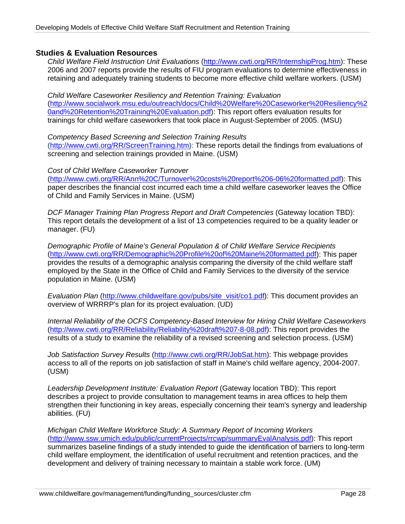## **Studies & Evaluation Resources**

*Child Welfare Field Instruction Unit Evaluations* (<http://www.cwti.org/RR/InternshipProg.htm>): These 2006 and 2007 reports provide the results of FIU program evaluations to determine effectiveness in retaining and adequately training students to become more effective child welfare workers. (USM)

*Child Welfare Caseworker Resiliency and Retention Training: Evaluation* ([http://www.socialwork.msu.edu/outreach/docs/Child%20Welfare%20Caseworker%20Resiliency%2](http://www.socialwork.msu.edu/outreach/docs/Child%20Welfare%20Caseworker%20Resiliency%20and%20Retention%20Training%20Evaluation.pdf) [0and%20Retention%20Training%20Evaluation.pdf](http://www.socialwork.msu.edu/outreach/docs/Child%20Welfare%20Caseworker%20Resiliency%20and%20Retention%20Training%20Evaluation.pdf)): This report offers evaluation results for trainings for child welfare caseworkers that took place in August-September of 2005. (MSU)

*Competency Based Screening and Selection Training Results* ([http://www.cwti.org/RR/ScreenTraining.htm\)](http://www.cwti.org/RR/ScreenTraining.htm): These reports detail the findings from evaluations of screening and selection trainings provided in Maine. (USM)

#### *Cost of Child Welfare Caseworker Turnover*

([http://www.cwti.org/RR/Ann%20C/Turnover%20costs%20report%206-06%20formatted.pdf\)](http://www.cwti.org/RR/Ann%20C/Turnover%20costs%20report%206-06%20formatted.pdf): This paper describes the financial cost incurred each time a child welfare caseworker leaves the Office of Child and Family Services in Maine. (USM)

*DCF Manager Training Plan Progress Report and Draft Competencies* (Gateway location TBD): This report details the development of a list of 13 competencies required to be a quality leader or manager. (FU)

*Demographic Profile of Maine's General Population & of Child Welfare Service Recipients* (<http://www.cwti.org/RR/Demographic%20Profile%20of%20Maine%20formatted.pdf>): This paper provides the results of a demographic analysis comparing the diversity of the child welfare staff employed by the State in the Office of Child and Family Services to the diversity of the service population in Maine. (USM)

*Evaluation Plan* [\(http://www.childwelfare.gov/pubs/site\\_visit/co1.pdf\)](http://www.childwelfare.gov/pubs/site_visit/co1.pdf): This document provides an overview of WRRRP's plan for its project evaluation. (UD)

*Internal Reliability of the OCFS Competency-Based Interview for Hiring Child Welfare Caseworkers* (<http://www.cwti.org/RR/Reliability/Reliability%20draft%207-8-08.pdf>): This report provides the results of a study to examine the reliability of a revised screening and selection process. (USM)

*Job Satisfaction Survey Results* [\(http://www.cwti.org/RR/JobSat.htm](http://www.cwti.org/RR/JobSat.htm)): This webpage provides access to all of the reports on job satisfaction of staff in Maine's child welfare agency, 2004-2007. (USM)

*Leadership Development Institute: Evaluation Report* (Gateway location TBD): This report describes a project to provide consultation to management teams in area offices to help them strengthen their functioning in key areas, especially concerning their team's synergy and leadership abilities. (FU)

*Michigan Child Welfare Workforce Study: A Summary Report of Incoming Workers* ([http://www.ssw.umich.edu/public/currentProjects/rrcwp/summaryEvalAnalysis.pdf\)](http://www.ssw.umich.edu/public/currentProjects/rrcwp/summaryEvalAnalysis.pdf): This report summarizes baseline findings of a study intended to guide the identification of barriers to long-term child welfare employment, the identification of useful recruitment and retention practices, and the development and delivery of training necessary to maintain a stable work force. (UM)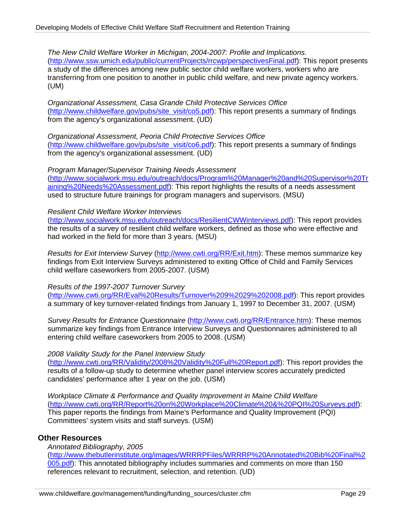*The New Child Welfare Worker in Michigan, 2004-2007: Profile and Implications.* ([http://www.ssw.umich.edu/public/currentProjects/rrcwp/perspectivesFinal.pdf\)](http://www.ssw.umich.edu/public/currentProjects/rrcwp/perspectivesFinal.pdf): This report presents a study of the differences among new public sector child welfare workers, workers who are transferring from one position to another in public child welfare, and new private agency workers. (UM)

*Organizational Assessment, Casa Grande Child Protective Services Office* ([http://www.childwelfare.gov/pubs/site\\_visit/co5.pdf](http://www.childwelfare.gov/pubs/site_visit/co5.pdf)): This report presents a summary of findings from the agency's organizational assessment. (UD)

*Organizational Assessment, Peoria Child Protective Services Office* ([http://www.childwelfare.gov/pubs/site\\_visit/co6.pdf](http://www.childwelfare.gov/pubs/site_visit/co6.pdf)): This report presents a summary of findings from the agency's organizational assessment. (UD)

*Program Manager/Supervisor Training Needs Assessment* ([http://www.socialwork.msu.edu/outreach/docs/Program%20Manager%20and%20Supervisor%20Tr](http://www.socialwork.msu.edu/outreach/docs/Program%20Manager%20and%20Supervisor%20Training%20Needs%20Assessment.pdf) [aining%20Needs%20Assessment.pdf](http://www.socialwork.msu.edu/outreach/docs/Program%20Manager%20and%20Supervisor%20Training%20Needs%20Assessment.pdf)): This report highlights the results of a needs assessment used to structure future trainings for program managers and supervisors. (MSU)

#### *Resilient Child Welfare Worker Interviews*

(<http://www.socialwork.msu.edu/outreach/docs/ResilientCWWinterviews.pdf>): This report provides the results of a survey of resilient child welfare workers, defined as those who were effective and had worked in the field for more than 3 years. (MSU)

*Results for Exit Interview Survey* [\(http://www.cwti.org/RR/Exit.htm](http://www.cwti.org/RR/Exit.htm)): These memos summarize key findings from Exit Interview Surveys administered to exiting Office of Child and Family Services child welfare caseworkers from 2005-2007. (USM)

#### *Results of the 1997-2007 Turnover Survey*

(<http://www.cwti.org/RR/Eval%20Results/Turnover%209%2029%202008.pdf>): This report provides a summary of key turnover-related findings from January 1, 1997 to December 31, 2007. (USM)

*Survey Results for Entrance Questionnaire* [\(http://www.cwti.org/RR/Entrance.htm\)](http://www.cwti.org/RR/Entrance.htm): These memos summarize key findings from Entrance Interview Surveys and Questionnaires administered to all entering child welfare caseworkers from 2005 to 2008. (USM)

#### *2008 Validity Study for the Panel Interview Study*

(<http://www.cwti.org/RR/Validity/2008%20Validity%20Full%20Report.pdf>): This report provides the results of a follow-up study to determine whether panel interview scores accurately predicted candidates' performance after 1 year on the job. (USM)

*Workplace Climate & Performance and Quality Improvement in Maine Child Welfare*  ([http://www.cwti.org/RR/Report%20on%20Workplace%20Climate%20&%20PQI%20Surveys.pdf\)](http://www.cwti.org/RR/Report%20on%20Workplace%20Climate%20&%20PQI%20Surveys.pdf): This paper reports the findings from Maine's Performance and Quality Improvement (PQI) Committees' system visits and staff surveys. (USM)

#### **Other Resources**

*Annotated Bibliography, 2005* ([http://www.thebutlerinstitute.org/images/WRRRPFiles/WRRRP%20Annotated%20Bib%20Final%2](http://www.thebutlerinstitute.org/images/WRRRPFiles/WRRRP%20Annotated%20Bib%20Final%2005.pdf) [005.pdf\)](http://www.thebutlerinstitute.org/images/WRRRPFiles/WRRRP%20Annotated%20Bib%20Final%2005.pdf): This annotated bibliography includes summaries and comments on more than 150 references relevant to recruitment, selection, and retention. (UD)